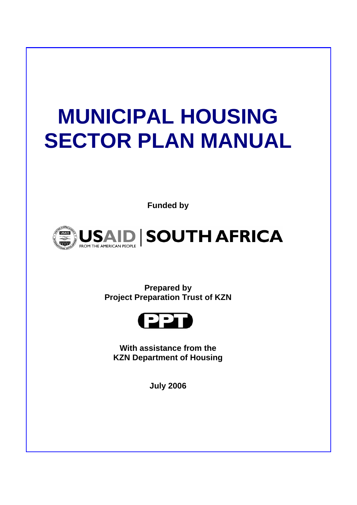# **MUNICIPAL HOUSING SECTOR PLAN MANUAL**

**Funded by** 



**Prepared by Project Preparation Trust of KZN** 



**With assistance from the KZN Department of Housing** 

**July 2006**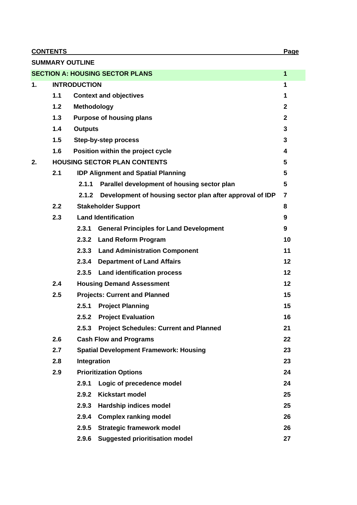**CONTENTS** Page

| <b>SUMMARY OUTLINE</b>                                 |                                                |                                     |                                                          |                |  |  |  |  |  |  |
|--------------------------------------------------------|------------------------------------------------|-------------------------------------|----------------------------------------------------------|----------------|--|--|--|--|--|--|
| <b>SECTION A: HOUSING SECTOR PLANS</b><br>$\mathbf{1}$ |                                                |                                     |                                                          |                |  |  |  |  |  |  |
| 1.                                                     |                                                | <b>INTRODUCTION</b>                 |                                                          | 1              |  |  |  |  |  |  |
|                                                        | 1.1                                            |                                     | <b>Context and objectives</b>                            | 1              |  |  |  |  |  |  |
|                                                        | 1.2                                            | Methodology                         |                                                          | $\mathbf{2}$   |  |  |  |  |  |  |
|                                                        | 1.3                                            |                                     | <b>Purpose of housing plans</b>                          | $\overline{2}$ |  |  |  |  |  |  |
|                                                        | 1.4                                            | <b>Outputs</b>                      |                                                          | 3              |  |  |  |  |  |  |
|                                                        | 1.5                                            | Step-by-step process                |                                                          |                |  |  |  |  |  |  |
|                                                        | 1.6<br>Position within the project cycle       |                                     |                                                          |                |  |  |  |  |  |  |
| 2.                                                     |                                                | <b>HOUSING SECTOR PLAN CONTENTS</b> |                                                          |                |  |  |  |  |  |  |
|                                                        | 2.1                                            |                                     | <b>IDP Alignment and Spatial Planning</b>                | 5              |  |  |  |  |  |  |
|                                                        |                                                | 2.1.1                               | Parallel development of housing sector plan              | 5              |  |  |  |  |  |  |
|                                                        |                                                | 2.1.2                               | Development of housing sector plan after approval of IDP | $\overline{7}$ |  |  |  |  |  |  |
|                                                        | 2.2<br><b>Stakeholder Support</b>              |                                     |                                                          |                |  |  |  |  |  |  |
|                                                        | 2.3                                            | <b>Land Identification</b>          |                                                          |                |  |  |  |  |  |  |
|                                                        |                                                | 2.3.1                               | <b>General Principles for Land Development</b>           |                |  |  |  |  |  |  |
|                                                        |                                                | 2.3.2                               | <b>Land Reform Program</b>                               | 10             |  |  |  |  |  |  |
|                                                        |                                                |                                     | 2.3.3 Land Administration Component                      | 11             |  |  |  |  |  |  |
|                                                        |                                                | 2.3.4                               | <b>Department of Land Affairs</b>                        | 12             |  |  |  |  |  |  |
|                                                        |                                                | 2.3.5                               | <b>Land identification process</b>                       | 12             |  |  |  |  |  |  |
|                                                        | 2.4                                            |                                     | <b>Housing Demand Assessment</b>                         | 12             |  |  |  |  |  |  |
|                                                        | 2.5                                            |                                     | <b>Projects: Current and Planned</b>                     | 15             |  |  |  |  |  |  |
|                                                        |                                                | 2.5.1                               | <b>Project Planning</b>                                  | 15             |  |  |  |  |  |  |
|                                                        |                                                |                                     | 2.5.2 Project Evaluation                                 | 16             |  |  |  |  |  |  |
|                                                        |                                                |                                     | 2.5.3 Project Schedules: Current and Planned             | 21             |  |  |  |  |  |  |
|                                                        | 2.6                                            |                                     | <b>Cash Flow and Programs</b>                            | 22             |  |  |  |  |  |  |
|                                                        | 2.7                                            |                                     | <b>Spatial Development Framework: Housing</b>            | 23             |  |  |  |  |  |  |
|                                                        | 2.8                                            | Integration                         |                                                          | 23             |  |  |  |  |  |  |
|                                                        | 2.9                                            |                                     | <b>Prioritization Options</b>                            | 24             |  |  |  |  |  |  |
|                                                        |                                                | 2.9.1                               | Logic of precedence model                                | 24             |  |  |  |  |  |  |
|                                                        |                                                | 2.9.2                               | <b>Kickstart model</b>                                   | 25             |  |  |  |  |  |  |
|                                                        |                                                | 2.9.3                               | <b>Hardship indices model</b>                            | 25             |  |  |  |  |  |  |
|                                                        |                                                | 2.9.4                               | <b>Complex ranking model</b>                             | 26             |  |  |  |  |  |  |
|                                                        |                                                | 2.9.5                               | <b>Strategic framework model</b>                         | 26             |  |  |  |  |  |  |
|                                                        | 2.9.6<br><b>Suggested prioritisation model</b> |                                     |                                                          |                |  |  |  |  |  |  |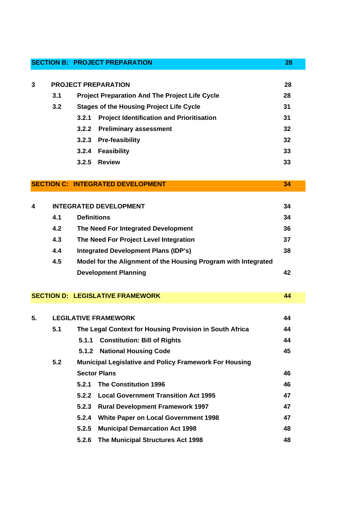| <b>SECTION B: PROJECT PREPARATION</b>                        |    |
|--------------------------------------------------------------|----|
| 3<br><b>PROJECT PREPARATION</b>                              | 28 |
| 3.1<br><b>Project Preparation And The Project Life Cycle</b> | 28 |
| 3.2<br><b>Stages of the Housing Project Life Cycle</b>       | 31 |
| <b>Project Identification and Prioritisation</b><br>3.2.1    | 31 |
| 3.2.2 Preliminary assessment                                 | 32 |
| 3.2.3 Pre-feasibility                                        | 32 |
| Feasibility<br>3.2.4                                         | 33 |
| <b>Review</b><br>3.2.5                                       | 33 |

# **SECTION C: INTEGRATED DEVELOPMENT 34**

| 4 |     | <b>INTEGRATED DEVELOPMENT</b>                                  | 34 |
|---|-----|----------------------------------------------------------------|----|
|   | 4.1 | <b>Definitions</b>                                             | 34 |
|   | 4.2 | The Need For Integrated Development                            | 36 |
|   | 4.3 | The Need For Project Level Integration                         | 37 |
|   | 4.4 | Integrated Development Plans (IDP's)                           | 38 |
|   | 4.5 | Model for the Alignment of the Housing Program with Integrated |    |
|   |     | <b>Development Planning</b>                                    |    |
|   |     |                                                                |    |

## **SECTION D: LEGISLATIVE FRAMEWORK 44 6 AND 100 MM 100 MM 100 MM 100 MM 100 MM 100 MM 100 MM 100 MM 100 MM 100 MM**

| 5. | <b>LEGILATIVE FRAMEWORK</b> |                                                               |                                             |    |  |  |  |  |
|----|-----------------------------|---------------------------------------------------------------|---------------------------------------------|----|--|--|--|--|
|    | 5.1                         | The Legal Context for Housing Provision in South Africa       |                                             |    |  |  |  |  |
|    |                             | 5.1.1                                                         | <b>Constitution: Bill of Rights</b>         | 44 |  |  |  |  |
|    |                             |                                                               | 5.1.2 National Housing Code                 | 45 |  |  |  |  |
|    | 5.2                         | <b>Municipal Legislative and Policy Framework For Housing</b> |                                             |    |  |  |  |  |
|    |                             |                                                               | <b>Sector Plans</b>                         |    |  |  |  |  |
|    |                             | 5.2.1                                                         | <b>The Constitution 1996</b>                | 46 |  |  |  |  |
|    |                             |                                                               | 5.2.2 Local Government Transition Act 1995  | 47 |  |  |  |  |
|    |                             |                                                               | 5.2.3 Rural Development Framework 1997      | 47 |  |  |  |  |
|    |                             | 5.2.4                                                         | <b>White Paper on Local Government 1998</b> | 47 |  |  |  |  |
|    |                             | 5.2.5                                                         | <b>Municipal Demarcation Act 1998</b>       | 48 |  |  |  |  |
|    |                             | 5.2.6                                                         | The Municipal Structures Act 1998           | 48 |  |  |  |  |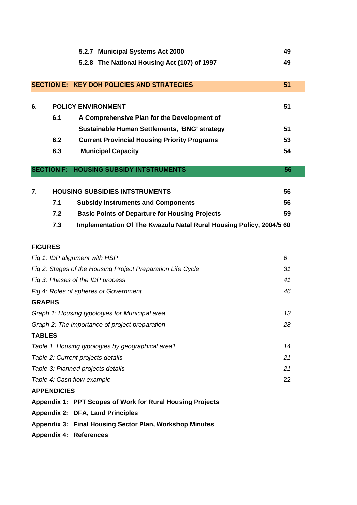|                                                                  |                    |                               | 5.2.7 Municipal Systems Act 2000                                    | 49 |  |  |  |  |  |
|------------------------------------------------------------------|--------------------|-------------------------------|---------------------------------------------------------------------|----|--|--|--|--|--|
|                                                                  |                    |                               | 5.2.8 The National Housing Act (107) of 1997                        | 49 |  |  |  |  |  |
|                                                                  |                    |                               |                                                                     |    |  |  |  |  |  |
|                                                                  |                    |                               | <b>SECTION E: KEY DOH POLICIES AND STRATEGIES</b>                   | 51 |  |  |  |  |  |
|                                                                  |                    |                               |                                                                     |    |  |  |  |  |  |
| 6.                                                               |                    |                               | <b>POLICY ENVIRONMENT</b>                                           | 51 |  |  |  |  |  |
|                                                                  | 6.1                |                               | A Comprehensive Plan for the Development of                         |    |  |  |  |  |  |
|                                                                  |                    |                               | Sustainable Human Settlements, 'BNG' strategy                       | 51 |  |  |  |  |  |
| 6.2<br><b>Current Provincial Housing Priority Programs</b><br>53 |                    |                               |                                                                     |    |  |  |  |  |  |
| 6.3<br><b>Municipal Capacity</b><br>54                           |                    |                               |                                                                     |    |  |  |  |  |  |
|                                                                  |                    |                               | <b>SECTION F: HOUSING SUBSIDY INTSTRUMENTS</b>                      | 56 |  |  |  |  |  |
|                                                                  |                    |                               |                                                                     |    |  |  |  |  |  |
| 7.                                                               |                    |                               | <b>HOUSING SUBSIDIES INTSTRUMENTS</b>                               | 56 |  |  |  |  |  |
|                                                                  | 7.1                |                               | <b>Subsidy Instruments and Components</b>                           | 56 |  |  |  |  |  |
|                                                                  | 7.2                |                               | <b>Basic Points of Departure for Housing Projects</b>               | 59 |  |  |  |  |  |
|                                                                  | 7.3                |                               | Implementation Of The Kwazulu Natal Rural Housing Policy, 2004/5 60 |    |  |  |  |  |  |
|                                                                  |                    |                               |                                                                     |    |  |  |  |  |  |
| <b>FIGURES</b>                                                   |                    |                               |                                                                     |    |  |  |  |  |  |
|                                                                  |                    | Fig 1: IDP alignment with HSP |                                                                     | 6  |  |  |  |  |  |
|                                                                  |                    |                               | Fig 2: Stages of the Housing Project Preparation Life Cycle         | 31 |  |  |  |  |  |
|                                                                  |                    |                               | Fig 3: Phases of the IDP process                                    | 41 |  |  |  |  |  |
|                                                                  |                    |                               | Fig 4: Roles of spheres of Government                               | 46 |  |  |  |  |  |
| <b>GRAPHS</b>                                                    |                    |                               |                                                                     |    |  |  |  |  |  |
|                                                                  |                    |                               | Graph 1: Housing typologies for Municipal area                      | 13 |  |  |  |  |  |
|                                                                  |                    |                               | Graph 2: The importance of project preparation                      | 28 |  |  |  |  |  |
| <b>TABLES</b>                                                    |                    |                               |                                                                     |    |  |  |  |  |  |
|                                                                  |                    |                               | Table 1: Housing typologies by geographical area1                   | 14 |  |  |  |  |  |
|                                                                  |                    |                               | Table 2: Current projects details                                   | 21 |  |  |  |  |  |
|                                                                  |                    |                               | Table 3: Planned projects details                                   | 21 |  |  |  |  |  |
|                                                                  |                    | Table 4: Cash flow example    |                                                                     | 22 |  |  |  |  |  |
|                                                                  | <b>APPENDICIES</b> |                               |                                                                     |    |  |  |  |  |  |
|                                                                  |                    |                               | Appendix 1: PPT Scopes of Work for Rural Housing Projects           |    |  |  |  |  |  |
|                                                                  |                    |                               | Appendix 2: DFA, Land Principles                                    |    |  |  |  |  |  |
|                                                                  |                    |                               | Appendix 3: Final Housing Sector Plan, Workshop Minutes             |    |  |  |  |  |  |

**Appendix 4: References**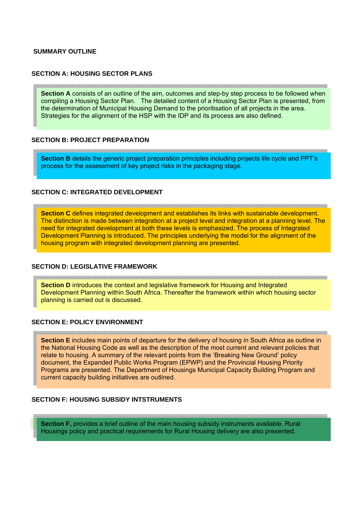#### **SUMMARY OUTLINE**

#### **SECTION A: HOUSING SECTOR PLANS**

**Section A** consists of an outline of the aim, outcomes and step-by step process to be followed when compiling a Housing Sector Plan. The detailed content of a Housing Sector Plan is presented, from the determination of Municipal Housing Demand to the prioritisation of all projects in the area. Strategies for the alignment of the HSP with the IDP and its process are also defined.

#### **SECTION B: PROJECT PREPARATION**

**Section B** details the generic project preparation principles including projects life cycle and PPT's process for the assessment of key project risks in the packaging stage.

#### **SECTION C: INTEGRATED DEVELOPMENT**

**Section C** defines integrated development and establishes its links with sustainable development. The distinction is made between integration at a project level and integration at a planning level. The need for integrated development at both these levels is emphasized. The process of Integrated Development Planning is introduced. The principles underlying the model for the alignment of the housing program with integrated development planning are presented.

#### **SECTION D: LEGISLATIVE FRAMEWORK**

and the contract of the contract of the contract of the contract of the contract of the contract of the contract of **Section D** introduces the context and legislative framework for Housing and Integrated Development Planning within South Africa. Thereafter the framework within which housing sector planning is carried out is discussed.

#### **SECTION E: POLICY ENVIRONMENT**

**Section E** includes main points of departure for the delivery of housing in South Africa as outline in the National Housing Code as well as the description of the most current and relevant policies that relate to housing. A summary of the relevant points from the 'Breaking New Ground' policy document, the Expanded Public Works Program (EPWP) and the Provincial Housing Priority Programs are presented. The Department of Housings Municipal Capacity Building Program and current capacity building initiatives are outlined.

<u> 1989 - Johann Stoff, Amerikaansk politiker (\* 1989)</u>

#### **SECTION F: HOUSING SUBSIDY INTSTRUMENTS**

**Section F,** provides a brief outline of the main housing subsidy instruments available. Rural Housings policy and practical requirements for Rural Housing delivery are also presented.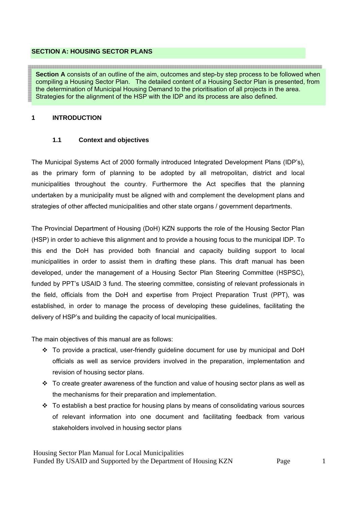#### **SECTION A: HOUSING SECTOR PLANS**

**Section A** consists of an outline of the aim, outcomes and step-by step process to be followed when compiling a Housing Sector Plan. The detailed content of a Housing Sector Plan is presented, from the determination of Municipal Housing Demand to the prioritisation of all projects in the area. Strategies for the alignment of the HSP with the IDP and its process are also defined.

#### **1 INTRODUCTION**

#### **1.1 Context and objectives**

The Municipal Systems Act of 2000 formally introduced Integrated Development Plans (IDP's), as the primary form of planning to be adopted by all metropolitan, district and local municipalities throughout the country. Furthermore the Act specifies that the planning undertaken by a municipality must be aligned with and complement the development plans and strategies of other affected municipalities and other state organs / government departments.

The Provincial Department of Housing (DoH) KZN supports the role of the Housing Sector Plan (HSP) in order to achieve this alignment and to provide a housing focus to the municipal IDP. To this end the DoH has provided both financial and capacity building support to local municipalities in order to assist them in drafting these plans. This draft manual has been developed, under the management of a Housing Sector Plan Steering Committee (HSPSC), funded by PPT's USAID 3 fund. The steering committee, consisting of relevant professionals in the field, officials from the DoH and expertise from Project Preparation Trust (PPT), was established, in order to manage the process of developing these guidelines, facilitating the delivery of HSP's and building the capacity of local municipalities.

The main objectives of this manual are as follows:

- \* To provide a practical, user-friendly guideline document for use by municipal and DoH officials as well as service providers involved in the preparation, implementation and revision of housing sector plans.
- $\cdot$  To create greater awareness of the function and value of housing sector plans as well as the mechanisms for their preparation and implementation.
- $\cdot \cdot$  To establish a best practice for housing plans by means of consolidating various sources of relevant information into one document and facilitating feedback from various stakeholders involved in housing sector plans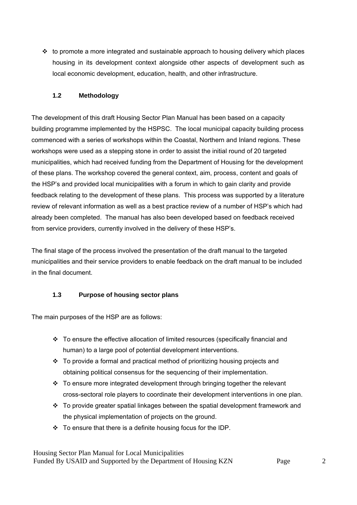$\cdot \cdot$  to promote a more integrated and sustainable approach to housing delivery which places housing in its development context alongside other aspects of development such as local economic development, education, health, and other infrastructure.

## **1.2 Methodology**

The development of this draft Housing Sector Plan Manual has been based on a capacity building programme implemented by the HSPSC. The local municipal capacity building process commenced with a series of workshops within the Coastal, Northern and Inland regions. These workshops were used as a stepping stone in order to assist the initial round of 20 targeted municipalities, which had received funding from the Department of Housing for the development of these plans. The workshop covered the general context, aim, process, content and goals of the HSP's and provided local municipalities with a forum in which to gain clarity and provide feedback relating to the development of these plans. This process was supported by a literature review of relevant information as well as a best practice review of a number of HSP's which had already been completed. The manual has also been developed based on feedback received from service providers, currently involved in the delivery of these HSP's.

The final stage of the process involved the presentation of the draft manual to the targeted municipalities and their service providers to enable feedback on the draft manual to be included in the final document.

## **1.3 Purpose of housing sector plans**

The main purposes of the HSP are as follows:

- To ensure the effective allocation of limited resources (specifically financial and human) to a large pool of potential development interventions.
- $\div$  To provide a formal and practical method of prioritizing housing projects and obtaining political consensus for the sequencing of their implementation.
- \* To ensure more integrated development through bringing together the relevant cross-sectoral role players to coordinate their development interventions in one plan.
- $\cdot \cdot$  To provide greater spatial linkages between the spatial development framework and the physical implementation of projects on the ground.
- $\div$  To ensure that there is a definite housing focus for the IDP.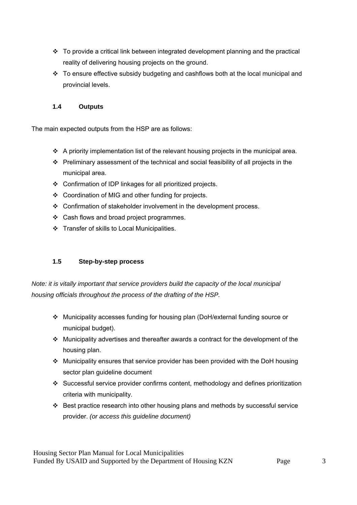- $\cdot \cdot$  To provide a critical link between integrated development planning and the practical reality of delivering housing projects on the ground.
- \* To ensure effective subsidy budgeting and cashflows both at the local municipal and provincial levels.

## **1.4 Outputs**

The main expected outputs from the HSP are as follows:

- A priority implementation list of the relevant housing projects in the municipal area.
- Preliminary assessment of the technical and social feasibility of all projects in the municipal area.
- Confirmation of IDP linkages for all prioritized projects.
- Coordination of MIG and other funding for projects.
- Confirmation of stakeholder involvement in the development process.
- ❖ Cash flows and broad project programmes.
- Transfer of skills to Local Municipalities.

## **1.5 Step-by-step process**

*Note: it is vitally important that service providers build the capacity of the local municipal housing officials throughout the process of the drafting of the HSP.* 

- Municipality accesses funding for housing plan (DoH/external funding source or municipal budget).
- $\cdot$  Municipality advertises and thereafter awards a contract for the development of the housing plan.
- Municipality ensures that service provider has been provided with the DoH housing sector plan guideline document
- Successful service provider confirms content, methodology and defines prioritization criteria with municipality.
- $\cdot \cdot$  Best practice research into other housing plans and methods by successful service provider. *(or access this guideline document)*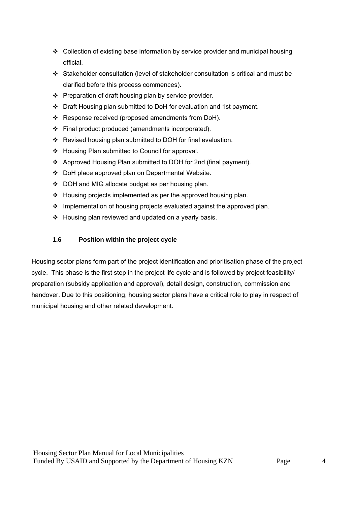- Collection of existing base information by service provider and municipal housing official.
- Stakeholder consultation (level of stakeholder consultation is critical and must be clarified before this process commences).
- $\div$  Preparation of draft housing plan by service provider.
- Draft Housing plan submitted to DoH for evaluation and 1st payment.
- Response received (proposed amendments from DoH).
- $\div$  Final product produced (amendments incorporated).
- \* Revised housing plan submitted to DOH for final evaluation.
- ❖ Housing Plan submitted to Council for approval.
- Approved Housing Plan submitted to DOH for 2nd (final payment).
- DoH place approved plan on Departmental Website.
- DOH and MIG allocate budget as per housing plan.
- $\div$  Housing projects implemented as per the approved housing plan.
- $\cdot$  Implementation of housing projects evaluated against the approved plan.
- Housing plan reviewed and updated on a yearly basis.

## **1.6 Position within the project cycle**

Housing sector plans form part of the project identification and prioritisation phase of the project cycle. This phase is the first step in the project life cycle and is followed by project feasibility/ preparation (subsidy application and approval), detail design, construction, commission and handover. Due to this positioning, housing sector plans have a critical role to play in respect of municipal housing and other related development.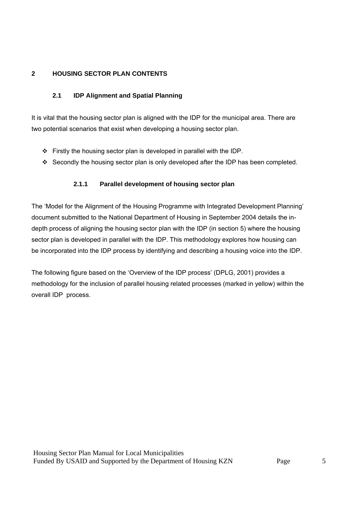## **2 HOUSING SECTOR PLAN CONTENTS**

## **2.1 IDP Alignment and Spatial Planning**

It is vital that the housing sector plan is aligned with the IDP for the municipal area. There are two potential scenarios that exist when developing a housing sector plan.

- $\div$  Firstly the housing sector plan is developed in parallel with the IDP.
- Secondly the housing sector plan is only developed after the IDP has been completed.

## **2.1.1 Parallel development of housing sector plan**

The 'Model for the Alignment of the Housing Programme with Integrated Development Planning' document submitted to the National Department of Housing in September 2004 details the indepth process of aligning the housing sector plan with the IDP (in section 5) where the housing sector plan is developed in parallel with the IDP. This methodology explores how housing can be incorporated into the IDP process by identifying and describing a housing voice into the IDP.

The following figure based on the 'Overview of the IDP process' (DPLG, 2001) provides a methodology for the inclusion of parallel housing related processes (marked in yellow) within the overall IDP process.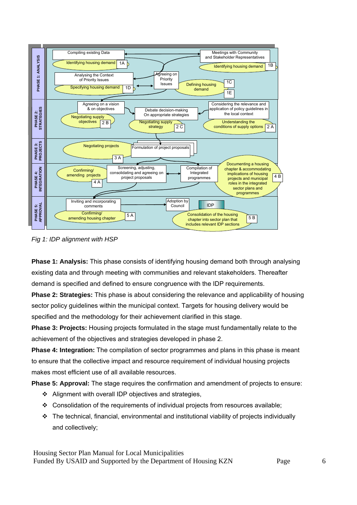

*Fig 1: IDP alignment with HSP* 

**Phase 1: Analysis:** This phase consists of identifying housing demand both through analysing existing data and through meeting with communities and relevant stakeholders. Thereafter demand is specified and defined to ensure congruence with the IDP requirements.

**Phase 2: Strategies:** This phase is about considering the relevance and applicability of housing sector policy guidelines within the municipal context. Targets for housing delivery would be specified and the methodology for their achievement clarified in this stage.

**Phase 3: Projects:** Housing projects formulated in the stage must fundamentally relate to the achievement of the objectives and strategies developed in phase 2.

**Phase 4: Integration:** The compilation of sector programmes and plans in this phase is meant to ensure that the collective impact and resource requirement of individual housing projects makes most efficient use of all available resources.

**Phase 5: Approval:** The stage requires the confirmation and amendment of projects to ensure:

- Alignment with overall IDP objectives and strategies,
- $\div$  Consolidation of the requirements of individual projects from resources available;
- The technical, financial, environmental and institutional viability of projects individually and collectively;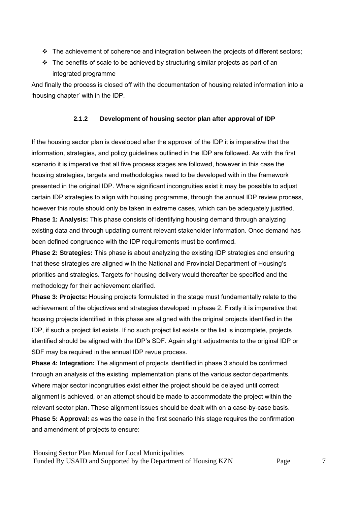- $\cdot \cdot$  The achievement of coherence and integration between the projects of different sectors;
- $\div$  The benefits of scale to be achieved by structuring similar projects as part of an integrated programme

And finally the process is closed off with the documentation of housing related information into a 'housing chapter' with in the IDP.

## **2.1.2 Development of housing sector plan after approval of IDP**

If the housing sector plan is developed after the approval of the IDP it is imperative that the information, strategies, and policy guidelines outlined in the IDP are followed. As with the first scenario it is imperative that all five process stages are followed, however in this case the housing strategies, targets and methodologies need to be developed with in the framework presented in the original IDP. Where significant incongruities exist it may be possible to adjust certain IDP strategies to align with housing programme, through the annual IDP review process, however this route should only be taken in extreme cases, which can be adequately justified.

**Phase 1: Analysis:** This phase consists of identifying housing demand through analyzing existing data and through updating current relevant stakeholder information. Once demand has been defined congruence with the IDP requirements must be confirmed.

**Phase 2: Strategies:** This phase is about analyzing the existing IDP strategies and ensuring that these strategies are aligned with the National and Provincial Department of Housing's priorities and strategies. Targets for housing delivery would thereafter be specified and the methodology for their achievement clarified.

**Phase 3: Projects:** Housing projects formulated in the stage must fundamentally relate to the achievement of the objectives and strategies developed in phase 2. Firstly it is imperative that housing projects identified in this phase are aligned with the original projects identified in the IDP, if such a project list exists. If no such project list exists or the list is incomplete, projects identified should be aligned with the IDP's SDF. Again slight adjustments to the original IDP or SDF may be required in the annual IDP revue process.

**Phase 4: Integration:** The alignment of projects identified in phase 3 should be confirmed through an analysis of the existing implementation plans of the various sector departments. Where major sector incongruities exist either the project should be delayed until correct alignment is achieved, or an attempt should be made to accommodate the project within the relevant sector plan. These alignment issues should be dealt with on a case-by-case basis.

**Phase 5: Approval:** as was the case in the first scenario this stage requires the confirmation and amendment of projects to ensure: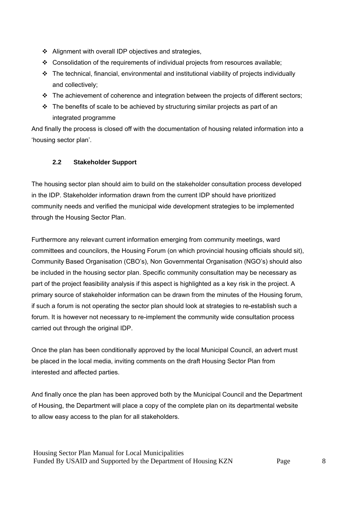- ❖ Alignment with overall IDP objectives and strategies,
- $\div$  Consolidation of the requirements of individual projects from resources available;
- $\cdot \cdot$  The technical, financial, environmental and institutional viability of projects individually and collectively;
- $\cdot \cdot$  The achievement of coherence and integration between the projects of different sectors;
- $\cdot \cdot$  The benefits of scale to be achieved by structuring similar projects as part of an integrated programme

And finally the process is closed off with the documentation of housing related information into a 'housing sector plan'.

## **2.2 Stakeholder Support**

The housing sector plan should aim to build on the stakeholder consultation process developed in the IDP. Stakeholder information drawn from the current IDP should have prioritized community needs and verified the municipal wide development strategies to be implemented through the Housing Sector Plan.

Furthermore any relevant current information emerging from community meetings, ward committees and councilors, the Housing Forum (on which provincial housing officials should sit), Community Based Organisation (CBO's), Non Governmental Organisation (NGO's) should also be included in the housing sector plan. Specific community consultation may be necessary as part of the project feasibility analysis if this aspect is highlighted as a key risk in the project. A primary source of stakeholder information can be drawn from the minutes of the Housing forum, if such a forum is not operating the sector plan should look at strategies to re-establish such a forum. It is however not necessary to re-implement the community wide consultation process carried out through the original IDP.

Once the plan has been conditionally approved by the local Municipal Council, an advert must be placed in the local media, inviting comments on the draft Housing Sector Plan from interested and affected parties.

And finally once the plan has been approved both by the Municipal Council and the Department of Housing, the Department will place a copy of the complete plan on its departmental website to allow easy access to the plan for all stakeholders.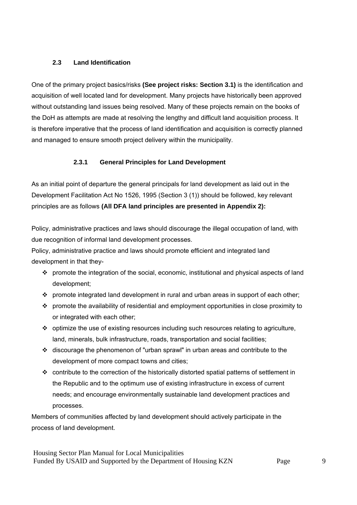## **2.3 Land Identification**

One of the primary project basics/risks **(See project risks: Section 3.1)** is the identification and acquisition of well located land for development. Many projects have historically been approved without outstanding land issues being resolved. Many of these projects remain on the books of the DoH as attempts are made at resolving the lengthy and difficult land acquisition process. It is therefore imperative that the process of land identification and acquisition is correctly planned and managed to ensure smooth project delivery within the municipality.

## **2.3.1 General Principles for Land Development**

As an initial point of departure the general principals for land development as laid out in the Development Facilitation Act No 1526, 1995 (Section 3 (1)) should be followed, key relevant principles are as follows **(All DFA land principles are presented in Appendix 2):**

Policy, administrative practices and laws should discourage the illegal occupation of land, with due recognition of informal land development processes.

Policy, administrative practice and laws should promote efficient and integrated land development in that they-

- promote the integration of the social, economic, institutional and physical aspects of land development;
- $\cdot \cdot$  promote integrated land development in rural and urban areas in support of each other;
- promote the availability of residential and employment opportunities in close proximity to or integrated with each other;
- $\cdot \cdot$  optimize the use of existing resources including such resources relating to agriculture, land, minerals, bulk infrastructure, roads, transportation and social facilities;
- discourage the phenomenon of "urban sprawl" in urban areas and contribute to the development of more compact towns and cities;
- contribute to the correction of the historically distorted spatial patterns of settlement in the Republic and to the optimum use of existing infrastructure in excess of current needs; and encourage environmentally sustainable land development practices and processes.

Members of communities affected by land development should actively participate in the process of land development.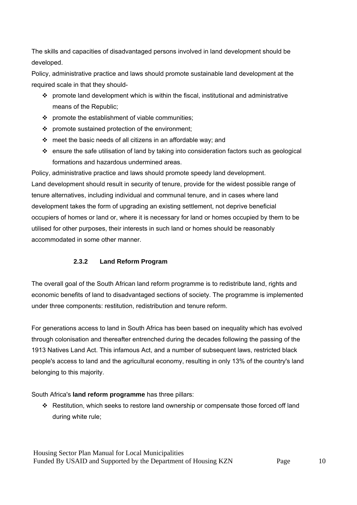The skills and capacities of disadvantaged persons involved in land development should be developed.

Policy, administrative practice and laws should promote sustainable land development at the required scale in that they should-

- $\cdot \cdot$  promote land development which is within the fiscal, institutional and administrative means of the Republic;
- $\div$  promote the establishment of viable communities;
- $\div$  promote sustained protection of the environment;
- $\div$  meet the basic needs of all citizens in an affordable way; and
- ensure the safe utilisation of land by taking into consideration factors such as geological formations and hazardous undermined areas.

Policy, administrative practice and laws should promote speedy land development. Land development should result in security of tenure, provide for the widest possible range of tenure alternatives, including individual and communal tenure, and in cases where land development takes the form of upgrading an existing settlement, not deprive beneficial occupiers of homes or land or, where it is necessary for land or homes occupied by them to be utilised for other purposes, their interests in such land or homes should be reasonably accommodated in some other manner.

## **2.3.2 Land Reform Program**

The overall goal of the South African land reform programme is to redistribute land, rights and economic benefits of land to disadvantaged sections of society. The programme is implemented under three components: restitution, redistribution and tenure reform.

For generations access to land in South Africa has been based on inequality which has evolved through colonisation and thereafter entrenched during the decades following the passing of the 1913 Natives Land Act. This infamous Act, and a number of subsequent laws, restricted black people's access to land and the agricultural economy, resulting in only 13% of the country's land belonging to this majority.

## South Africa's **land reform programme** has three pillars:

 Restitution, which seeks to restore land ownership or compensate those forced off land during white rule;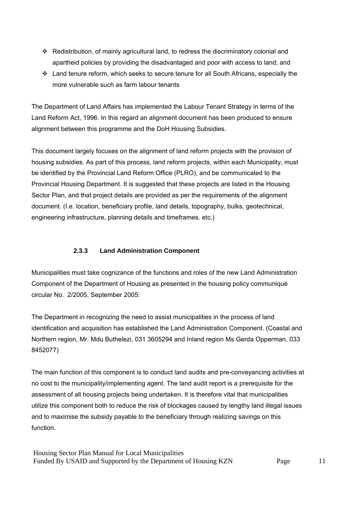- Redistribution, of mainly agricultural land, to redress the discriminatory colonial and apartheid policies by providing the disadvantaged and poor with access to land; and
- Land tenure reform, which seeks to secure tenure for all South Africans, especially the more vulnerable such as farm labour tenants

The Department of Land Affairs has implemented the Labour Tenant Strategy in terms of the Land Reform Act, 1996. In this regard an alignment document has been produced to ensure alignment between this programme and the DoH Housing Subsidies.

This document largely focuses on the alignment of land reform projects with the provision of housing subsidies. As part of this process, land reform projects, within each Municipality, must be identified by the Provincial Land Reform Office (PLRO), and be communicated to the Provincial Housing Department. It is suggested that these projects are listed in the Housing Sector Plan, and that project details are provided as per the requirements of the alignment document. (I.e. location, beneficiary profile, land details, topography, bulks, geotechnical, engineering infrastructure, planning details and timeframes. etc.)

## **2.3.3 Land Administration Component**

Municipalities must take cognizance of the functions and roles of the new Land Administration Component of the Department of Housing as presented in the housing policy communiqué circular No. 2/2005, September 2005.

The Department in recognizing the need to assist municipalities in the process of land identification and acquisition has established the Land Administration Component. (Coastal and Northern region, Mr. Mdu Buthelezi, 031 3605294 and Inland region Ms Gerda Opperman, 033 8452077)

The main function of this component is to conduct land audits and pre-conveyancing activities at no cost to the municipality/implementing agent. The land audit report is a prerequisite for the assessment of all housing projects being undertaken. It is therefore vital that municipalities utilize this component both to reduce the risk of blockages caused by lengthy land illegal issues and to maximise the subsidy payable to the beneficiary through realizing savings on this function.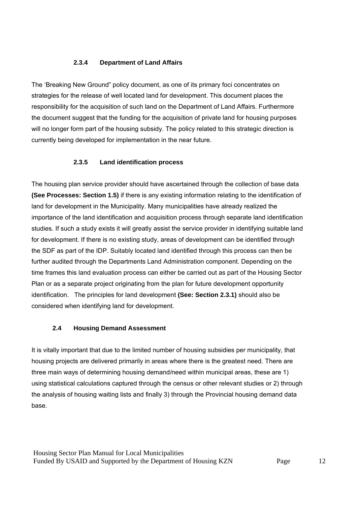## **2.3.4 Department of Land Affairs**

The 'Breaking New Ground" policy document, as one of its primary foci concentrates on strategies for the release of well located land for development. This document places the responsibility for the acquisition of such land on the Department of Land Affairs. Furthermore the document suggest that the funding for the acquisition of private land for housing purposes will no longer form part of the housing subsidy. The policy related to this strategic direction is currently being developed for implementation in the near future.

## **2.3.5 Land identification process**

The housing plan service provider should have ascertained through the collection of base data **(See Processes: Section 1.5)** if there is any existing information relating to the identification of land for development in the Municipality. Many municipalities have already realized the importance of the land identification and acquisition process through separate land identification studies. If such a study exists it will greatly assist the service provider in identifying suitable land for development. If there is no existing study, areas of development can be identified through the SDF as part of the IDP. Suitably located land identified through this process can then be further audited through the Departments Land Administration component. Depending on the time frames this land evaluation process can either be carried out as part of the Housing Sector Plan or as a separate project originating from the plan for future development opportunity identification. The principles for land development **(See: Section 2.3.1)** should also be considered when identifying land for development.

#### **2.4 Housing Demand Assessment**

It is vitally important that due to the limited number of housing subsidies per municipality, that housing projects are delivered primarily in areas where there is the greatest need. There are three main ways of determining housing demand/need within municipal areas, these are 1) using statistical calculations captured through the census or other relevant studies or 2) through the analysis of housing waiting lists and finally 3) through the Provincial housing demand data base.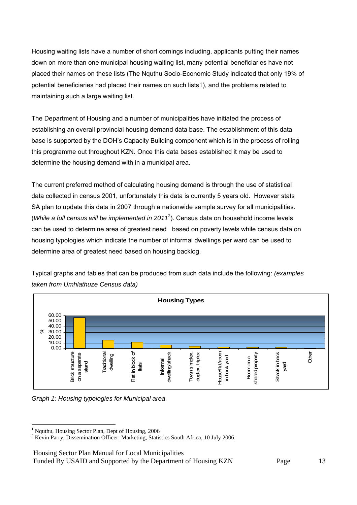Housing waiting lists have a number of short comings including, applicants putting their names down on more than one municipal housing waiting list, many potential beneficiaries have not placed their names on these lists (The Nquthu Socio-Economic Study indicated that only 19% of potential beneficiaries had placed their names on such lists1), and the problems related to maintaining such a large waiting list.

The Department of Housing and a number of municipalities have initiated the process of establishing an overall provincial housing demand data base. The establishment of this data base is supported by the DOH's Capacity Building component which is in the process of rolling this programme out throughout KZN. Once this data bases established it may be used to determine the housing demand with in a municipal area.

The current preferred method of calculating housing demand is through the use of statistical data collected in census 2001, unfortunately this data is currently 5 years old. However stats SA plan to update this data in 2007 through a nationwide sample survey for all municipalities. (*While a full census will be implemented in 2011*<sup>2</sup>). Census data on household income levels can be used to determine area of greatest need based on poverty levels while census data on housing typologies which indicate the number of informal dwellings per ward can be used to determine area of greatest need based on housing backlog.



Typical graphs and tables that can be produced from such data include the following: *(examples taken from Umhlathuze Census data)* 

*Graph 1: Housing typologies for Municipal area* 

Housing Sector Plan Manual for Local Municipalities

Funded By USAID and Supported by the Department of Housing KZN Page 13

 1 Nquthu, Housing Sector Plan, Dept of Housing, 2006

<sup>&</sup>lt;sup>2</sup> Kevin Parry, Dissemination Officer: Marketing, Statistics South Africa, 10 July 2006.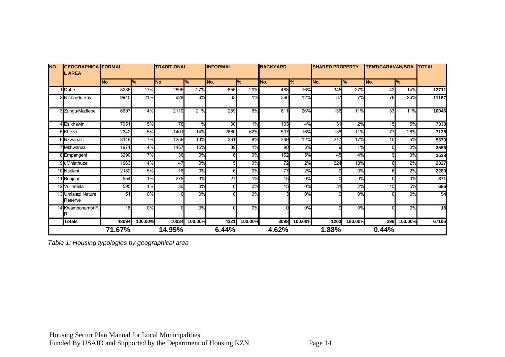| <b>GEOGRAPHICA FORMAL</b><br>NO.<br><b>LAREA</b> |                               | <b>TRADITIONAL</b> |                  | <b>INFORMAL</b> |                  | <b>BACKYARD</b> |                  | <b>SHARED PROPERTY</b> |                  | <b>TENT/CARAVAN/BOA</b> |                           | <b>TOTAL</b> |               |                 |
|--------------------------------------------------|-------------------------------|--------------------|------------------|-----------------|------------------|-----------------|------------------|------------------------|------------------|-------------------------|---------------------------|--------------|---------------|-----------------|
|                                                  |                               | <b>No</b>          | %                | <b>No</b>       | %                | No.             | ℅                | No.                    | %                | No.                     | $\mathbf{P}_{\mathbf{6}}$ | No.          | $\frac{9}{6}$ |                 |
|                                                  | 1 Dube                        | 8286               | 17%              | 2695            | 27%              | 855             | 20%              | 488                    | 16%              | 345                     | 27%                       | 42           | 14%           | 12711           |
|                                                  | 2 Richards Bay                | 9945               | 21%              | 628             | 6%               | 63              | 1%               | 366                    | 12%              | 87                      | 7%                        | 78           | 26%           | 11167           |
|                                                  | 3 Zungu/Madlebe               | 6697               | 14%              | 2110            | 21%              | 259             | 6%               | 811                    | 26%              | 136                     | 11%                       | 33           | 11%           | 10046           |
|                                                  | 4 Esikhawini                  | 7051               | 15%              | 78              | 1%               | 30              | 1%               | 133                    | 4%               | 31                      | 2%                        | 15           | 5%            | 7338            |
|                                                  | 5 Khoza                       | 2342               | 5%               | 1401            | 14%              | 2660            | 62%              | 507                    | 16%              | 138                     | 11%                       | 77           | 26%           | 7125            |
|                                                  | 6 Nkwanazi                    | 3149               | 7%               | 1259            | 13%              | 361             | 8%               | 369                    | 12%              | 217                     | 17%                       | 15           | 5%            | 5370            |
|                                                  | 7 Mkhwanazi                   | 1971               | 4%               | 1457            | 15%              | 39              | 1%               | 90                     | 3%               | 9                       | 1%                        |              | 0%            | 3566            |
|                                                  | 8 Empangeni                   | 3290               | 7%               | 36              | 0%               |                 | 0%               | 152                    | 5%               | 45                      | 4%                        | a            | 3%            | 3538            |
|                                                  | 9 uMhlathuze                  | 1963               | 4%               | 47              | 0%               | 15              | 0%               | $\overline{72}$        | 2%               | 224                     | 18%                       |              | 2%            | 2327            |
|                                                  | 10 Nseleni                    | 2182               | 5%               | 18              | 0%               |                 | 0%               | 77                     | 2%               |                         | 0%                        |              | 2%            | 2289            |
|                                                  | 11 Benjani                    | 554                | 1%               | 275             | 3%               | $\overline{27}$ | 1%               | 15                     | $\overline{0\%}$ | $\Omega$                | $\overline{0\%}$          | n            | 0%            | 871             |
|                                                  | 12 Vulindlela                 | 595                | 1%               | 30              | $\overline{0\%}$ |                 | $\overline{0\%}$ | 15                     | 0%               | 31                      | 2%                        | 15           | 5%            | 686             |
|                                                  | 13 Umlalazi Nature<br>Reserve | 51                 | 0%               |                 | 0%               |                 | 0%               |                        | 0%               |                         | 0%                        |              | 0%            | 54              |
|                                                  | 14 Kwambonambi F.<br>R.       | 18                 | $\overline{0\%}$ |                 | $\overline{0\%}$ |                 | $\overline{0\%}$ |                        | $\overline{0\%}$ |                         | 0%                        |              | 0%            | $\overline{18}$ |
|                                                  | <b>Totals</b>                 | 48094              | 100.00%          | 10034           | 100.00%          | 4321            | 100.00%          | 3098                   | 100.00%          | 1263                    | 100.00%                   | 296          | 100.00%       | 67106           |
|                                                  |                               | 71.67%             |                  | 14.95%          |                  | 6.44%           |                  | 4.62%                  |                  | 1.88%                   |                           | 0.44%        |               |                 |

*Table 1: Housing typologies by geographical area*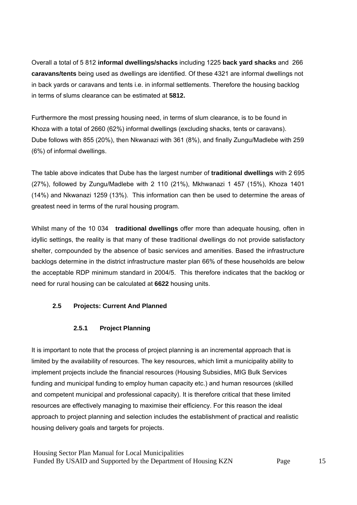Overall a total of 5 812 **informal dwellings/shacks** including 1225 **back yard shacks** and 266 **caravans/tents** being used as dwellings are identified. Of these 4321 are informal dwellings not in back yards or caravans and tents i.e. in informal settlements. Therefore the housing backlog in terms of slums clearance can be estimated at **5812.**

Furthermore the most pressing housing need, in terms of slum clearance, is to be found in Khoza with a total of 2660 (62%) informal dwellings (excluding shacks, tents or caravans). Dube follows with 855 (20%), then Nkwanazi with 361 (8%), and finally Zungu/Madlebe with 259 (6%) of informal dwellings.

The table above indicates that Dube has the largest number of **traditional dwellings** with 2 695 (27%), followed by Zungu/Madlebe with 2 110 (21%), Mkhwanazi 1 457 (15%), Khoza 1401 (14%) and Nkwanazi 1259 (13%). This information can then be used to determine the areas of greatest need in terms of the rural housing program.

Whilst many of the 10 034 **traditional dwellings** offer more than adequate housing, often in idyllic settings, the reality is that many of these traditional dwellings do not provide satisfactory shelter, compounded by the absence of basic services and amenities. Based the infrastructure backlogs determine in the district infrastructure master plan 66% of these households are below the acceptable RDP minimum standard in 2004/5. This therefore indicates that the backlog or need for rural housing can be calculated at **6622** housing units.

## **2.5 Projects: Current And Planned**

#### **2.5.1 Project Planning**

It is important to note that the process of project planning is an incremental approach that is limited by the availability of resources. The key resources, which limit a municipality ability to implement projects include the financial resources (Housing Subsidies, MIG Bulk Services funding and municipal funding to employ human capacity etc.) and human resources (skilled and competent municipal and professional capacity). It is therefore critical that these limited resources are effectively managing to maximise their efficiency. For this reason the ideal approach to project planning and selection includes the establishment of practical and realistic housing delivery goals and targets for projects.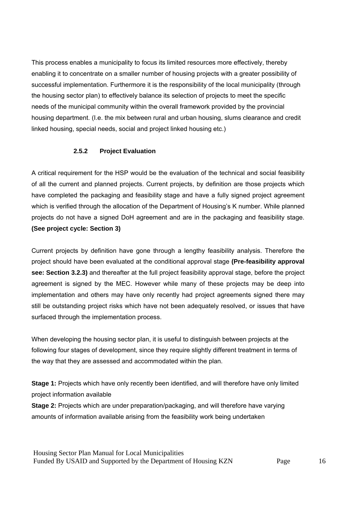This process enables a municipality to focus its limited resources more effectively, thereby enabling it to concentrate on a smaller number of housing projects with a greater possibility of successful implementation. Furthermore it is the responsibility of the local municipality (through the housing sector plan) to effectively balance its selection of projects to meet the specific needs of the municipal community within the overall framework provided by the provincial housing department. (I.e. the mix between rural and urban housing, slums clearance and credit linked housing, special needs, social and project linked housing etc.)

#### **2.5.2 Project Evaluation**

A critical requirement for the HSP would be the evaluation of the technical and social feasibility of all the current and planned projects. Current projects, by definition are those projects which have completed the packaging and feasibility stage and have a fully signed project agreement which is verified through the allocation of the Department of Housing's K number. While planned projects do not have a signed DoH agreement and are in the packaging and feasibility stage. **(See project cycle: Section 3)**

Current projects by definition have gone through a lengthy feasibility analysis. Therefore the project should have been evaluated at the conditional approval stage **(Pre-feasibility approval see: Section 3.2.3)** and thereafter at the full project feasibility approval stage, before the project agreement is signed by the MEC. However while many of these projects may be deep into implementation and others may have only recently had project agreements signed there may still be outstanding project risks which have not been adequately resolved, or issues that have surfaced through the implementation process.

When developing the housing sector plan, it is useful to distinguish between projects at the following four stages of development, since they require slightly different treatment in terms of the way that they are assessed and accommodated within the plan.

**Stage 1:** Projects which have only recently been identified, and will therefore have only limited project information available

**Stage 2:** Projects which are under preparation/packaging, and will therefore have varying amounts of information available arising from the feasibility work being undertaken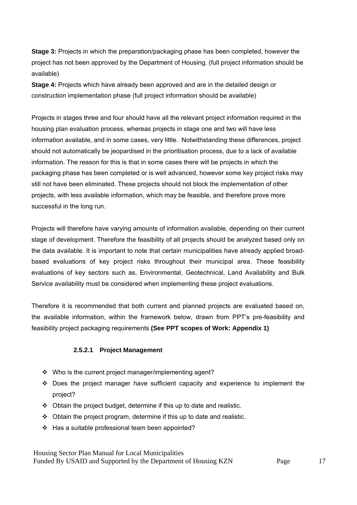**Stage 3:** Projects in which the preparation/packaging phase has been completed, however the project has not been approved by the Department of Housing. (full project information should be available)

**Stage 4:** Projects which have already been approved and are in the detailed design or construction implementation phase (full project information should be available)

Projects in stages three and four should have all the relevant project information required in the housing plan evaluation process, whereas projects in stage one and two will have less information available, and in some cases, very little. Notwithstanding these differences, project should not automatically be jeopardised in the prioritisation process, due to a lack of available information. The reason for this is that in some cases there will be projects in which the packaging phase has been completed or is well advanced, however some key project risks may still not have been eliminated. These projects should not block the implementation of other projects, with less available information, which may be feasible, and therefore prove more successful in the long run.

Projects will therefore have varying amounts of information available, depending on their current stage of development. Therefore the feasibility of all projects should be analyzed based only on the data available. It is important to note that certain municipalities have already applied broadbased evaluations of key project risks throughout their municipal area. These feasibility evaluations of key sectors such as, Environmental, Geotechnical, Land Availability and Bulk Service availability must be considered when implementing these project evaluations.

Therefore it is recommended that both current and planned projects are evaluated based on, the available information, within the framework below, drawn from PPT's pre-feasibility and feasibility project packaging requirements **(See PPT scopes of Work: Appendix 1)**

#### **2.5.2.1 Project Management**

- Who is the current project manager/implementing agent?
- Does the project manager have sufficient capacity and experience to implement the project?
- $\div$  Obtain the project budget, determine if this up to date and realistic.
- $\div$  Obtain the project program, determine if this up to date and realistic.
- $\div$  Has a suitable professional team been appointed?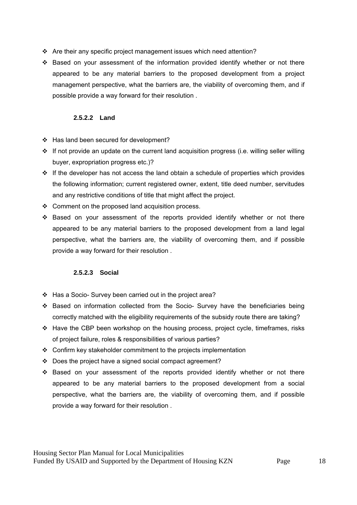- Are their any specific project management issues which need attention?
- $\div$  Based on your assessment of the information provided identify whether or not there appeared to be any material barriers to the proposed development from a project management perspective, what the barriers are, the viability of overcoming them, and if possible provide a way forward for their resolution .

## **2.5.2.2 Land**

- ❖ Has land been secured for development?
- $\cdot$  If not provide an update on the current land acquisition progress (i.e. willing seller willing buyer, expropriation progress etc.)?
- $\cdot$  If the developer has not access the land obtain a schedule of properties which provides the following information; current registered owner, extent, title deed number, servitudes and any restrictive conditions of title that might affect the project.
- $\div$  Comment on the proposed land acquisition process.
- $\cdot \cdot$  Based on your assessment of the reports provided identify whether or not there appeared to be any material barriers to the proposed development from a land legal perspective, what the barriers are, the viability of overcoming them, and if possible provide a way forward for their resolution .

## **2.5.2.3 Social**

- Has a Socio- Survey been carried out in the project area?
- Based on information collected from the Socio- Survey have the beneficiaries being correctly matched with the eligibility requirements of the subsidy route there are taking?
- $\div$  Have the CBP been workshop on the housing process, project cycle, timeframes, risks of project failure, roles & responsibilities of various parties?
- Confirm key stakeholder commitment to the projects implementation
- $\div$  Does the project have a signed social compact agreement?
- Based on your assessment of the reports provided identify whether or not there appeared to be any material barriers to the proposed development from a social perspective, what the barriers are, the viability of overcoming them, and if possible provide a way forward for their resolution .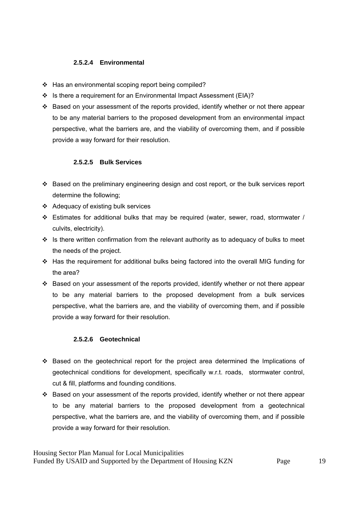## **2.5.2.4 Environmental**

- ❖ Has an environmental scoping report being compiled?
- $\div$  Is there a requirement for an Environmental Impact Assessment (EIA)?
- Based on your assessment of the reports provided, identify whether or not there appear to be any material barriers to the proposed development from an environmental impact perspective, what the barriers are, and the viability of overcoming them, and if possible provide a way forward for their resolution.

## **2.5.2.5 Bulk Services**

- \* Based on the preliminary engineering design and cost report, or the bulk services report determine the following;
- Adequacy of existing bulk services
- Estimates for additional bulks that may be required (water, sewer, road, stormwater / culvits, electricity).
- $\cdot \cdot$  Is there written confirmation from the relevant authority as to adequacy of bulks to meet the needs of the project.
- Has the requirement for additional bulks being factored into the overall MIG funding for the area?
- Based on your assessment of the reports provided, identify whether or not there appear to be any material barriers to the proposed development from a bulk services perspective, what the barriers are, and the viability of overcoming them, and if possible provide a way forward for their resolution.

#### **2.5.2.6 Geotechnical**

- Based on the geotechnical report for the project area determined the Implications of geotechnical conditions for development, specifically w.r.t. roads, stormwater control, cut & fill, platforms and founding conditions.
- Based on your assessment of the reports provided, identify whether or not there appear to be any material barriers to the proposed development from a geotechnical perspective, what the barriers are, and the viability of overcoming them, and if possible provide a way forward for their resolution.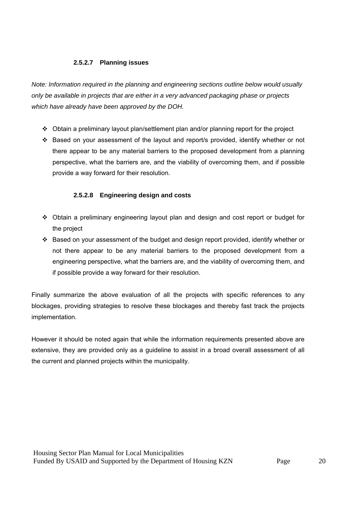## **2.5.2.7 Planning issues**

*Note: Information required in the planning and engineering sections outline below would usually only be available in projects that are either in a very advanced packaging phase or projects which have already have been approved by the DOH.* 

- $\div$  Obtain a preliminary layout plan/settlement plan and/or planning report for the project
- Based on your assessment of the layout and report/s provided, identify whether or not there appear to be any material barriers to the proposed development from a planning perspective, what the barriers are, and the viability of overcoming them, and if possible provide a way forward for their resolution.

## **2.5.2.8 Engineering design and costs**

- Obtain a preliminary engineering layout plan and design and cost report or budget for the project
- $\cdot \cdot$  Based on your assessment of the budget and design report provided, identify whether or not there appear to be any material barriers to the proposed development from a engineering perspective, what the barriers are, and the viability of overcoming them, and if possible provide a way forward for their resolution.

Finally summarize the above evaluation of all the projects with specific references to any blockages, providing strategies to resolve these blockages and thereby fast track the projects implementation.

However it should be noted again that while the information requirements presented above are extensive, they are provided only as a guideline to assist in a broad overall assessment of all the current and planned projects within the municipality.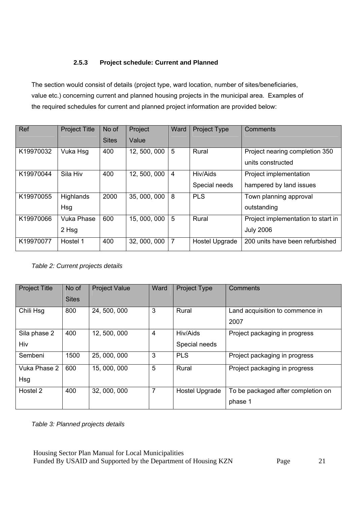## **2.5.3 Project schedule: Current and Planned**

The section would consist of details (project type, ward location, number of sites/beneficiaries, value etc.) concerning current and planned housing projects in the municipal area. Examples of the required schedules for current and planned project information are provided below:

| Ref       | <b>Project Title</b> | No of        | Project      | Ward | <b>Project Type</b> | Comments                           |
|-----------|----------------------|--------------|--------------|------|---------------------|------------------------------------|
|           |                      | <b>Sites</b> | Value        |      |                     |                                    |
| K19970032 | Vuka Hsg             | 400          | 12, 500, 000 | 5    | Rural               | Project nearing completion 350     |
|           |                      |              |              |      |                     | units constructed                  |
| K19970044 | Sila Hiv             | 400          | 12, 500, 000 | 4    | Hiv/Aids            | Project implementation             |
|           |                      |              |              |      | Special needs       | hampered by land issues            |
| K19970055 | <b>Highlands</b>     | 2000         | 35, 000, 000 | 8    | <b>PLS</b>          | Town planning approval             |
|           | Hsg                  |              |              |      |                     | outstanding                        |
| K19970066 | <b>Vuka Phase</b>    | 600          | 15, 000, 000 | 5    | Rural               | Project implementation to start in |
|           | 2 Hsg                |              |              |      |                     | <b>July 2006</b>                   |
| K19970077 | Hostel 1             | 400          | 32, 000, 000 | 7    | Hostel Upgrade      | 200 units have been refurbished    |

*Table 2: Current projects details*

| <b>Project Title</b> | No of        | <b>Project Value</b> | Ward           | <b>Project Type</b>   | Comments                           |
|----------------------|--------------|----------------------|----------------|-----------------------|------------------------------------|
|                      | <b>Sites</b> |                      |                |                       |                                    |
| Chili Hsg            | 800          | 24, 500, 000         | 3              | Rural                 | Land acquisition to commence in    |
|                      |              |                      |                |                       | 2007                               |
| Sila phase 2         | 400          | 12, 500, 000         | 4              | Hiv/Aids              | Project packaging in progress      |
| Hiv                  |              |                      |                | Special needs         |                                    |
| Sembeni              | 1500         | 25, 000, 000         | 3              | <b>PLS</b>            | Project packaging in progress      |
| Vuka Phase 2         | 600          | 15, 000, 000         | 5              | Rural                 | Project packaging in progress      |
| Hsg                  |              |                      |                |                       |                                    |
| Hostel 2             | 400          | 32, 000, 000         | $\overline{7}$ | <b>Hostel Upgrade</b> | To be packaged after completion on |
|                      |              |                      |                |                       | phase 1                            |

*Table 3: Planned projects details*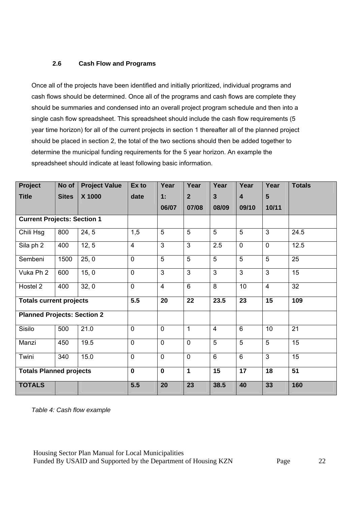## **2.6 Cash Flow and Programs**

Once all of the projects have been identified and initially prioritized, individual programs and cash flows should be determined. Once all of the programs and cash flows are complete they should be summaries and condensed into an overall project program schedule and then into a single cash flow spreadsheet. This spreadsheet should include the cash flow requirements (5 year time horizon) for all of the current projects in section 1 thereafter all of the planned project should be placed in section 2, the total of the two sections should then be added together to determine the municipal funding requirements for the 5 year horizon. An example the spreadsheet should indicate at least following basic information.

| Project                            | No of        | <b>Project Value</b> | Ex to          | Year           | Year           | Year           | Year                    | Year           | <b>Totals</b> |
|------------------------------------|--------------|----------------------|----------------|----------------|----------------|----------------|-------------------------|----------------|---------------|
| <b>Title</b>                       | <b>Sites</b> | X 1000               | date           | 1:             | $\mathbf{2}$   | $\mathbf{3}$   | $\overline{\mathbf{4}}$ | 5              |               |
|                                    |              |                      |                | 06/07          | 07/08          | 08/09          | 09/10                   | 10/11          |               |
| <b>Current Projects: Section 1</b> |              |                      |                |                |                |                |                         |                |               |
| Chili Hsg<br>800<br>24, 5          |              |                      | 1,5            | 5              | 5              | 5              | 5                       | 3              | 24.5          |
| Sila ph 2                          | 400          | 12, 5                | $\overline{4}$ | 3              | 3              | 2.5            | $\overline{0}$          | $\mathbf 0$    | 12.5          |
| Sembeni                            | 1500         | 25, 0                | $\mathbf 0$    | 5              | 5              | 5              | 5                       | 5              | 25            |
| Vuka Ph <sub>2</sub>               | 600          | 15, 0                | $\overline{0}$ | $\overline{3}$ | $\overline{3}$ | $\overline{3}$ | $\overline{3}$          | $\overline{3}$ | 15            |
| Hostel 2                           | 400          | 32, 0                | $\overline{0}$ | $\overline{4}$ | 6              | 8              | 10                      | $\overline{4}$ | 32            |
| <b>Totals current projects</b>     |              |                      | 5.5            | 20             | 22             | 23.5           | 23                      | 15             | 109           |
| <b>Planned Projects: Section 2</b> |              |                      |                |                |                |                |                         |                |               |
| Sisilo                             | 500          | 21.0                 | $\mathbf 0$    | 0              | $\mathbf{1}$   | $\overline{4}$ | 6                       | 10             | 21            |
| Manzi                              | 450          | 19.5                 | $\overline{0}$ | $\mathsf{O}$   | $\overline{0}$ | 5              | 5                       | 5              | 15            |
| Twini                              | 340          | 15.0                 | $\mathbf 0$    | 0              | $\mathbf 0$    | $6\phantom{1}$ | $6\phantom{1}$          | 3              | 15            |
| <b>Totals Planned projects</b>     |              |                      | $\mathbf 0$    | $\mathbf 0$    | $\mathbf{1}$   | 15             | 17                      | 18             | 51            |
| <b>TOTALS</b>                      | 5.5          | 20                   | 23             | 38.5           | 40             | 33             | 160                     |                |               |

*Table 4: Cash flow example*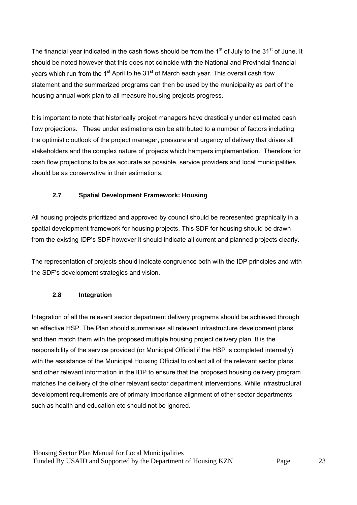The financial year indicated in the cash flows should be from the 1<sup>st</sup> of July to the 31<sup>st</sup> of June. It should be noted however that this does not coincide with the National and Provincial financial years which run from the 1<sup>st</sup> April to he  $31<sup>st</sup>$  of March each year. This overall cash flow statement and the summarized programs can then be used by the municipality as part of the housing annual work plan to all measure housing projects progress.

It is important to note that historically project managers have drastically under estimated cash flow projections. These under estimations can be attributed to a number of factors including the optimistic outlook of the project manager, pressure and urgency of delivery that drives all stakeholders and the complex nature of projects which hampers implementation. Therefore for cash flow projections to be as accurate as possible, service providers and local municipalities should be as conservative in their estimations.

## **2.7 Spatial Development Framework: Housing**

All housing projects prioritized and approved by council should be represented graphically in a spatial development framework for housing projects. This SDF for housing should be drawn from the existing IDP's SDF however it should indicate all current and planned projects clearly.

The representation of projects should indicate congruence both with the IDP principles and with the SDF's development strategies and vision.

## **2.8 Integration**

Integration of all the relevant sector department delivery programs should be achieved through an effective HSP. The Plan should summarises all relevant infrastructure development plans and then match them with the proposed multiple housing project delivery plan. It is the responsibility of the service provided (or Municipal Official if the HSP is completed internally) with the assistance of the Municipal Housing Official to collect all of the relevant sector plans and other relevant information in the IDP to ensure that the proposed housing delivery program matches the delivery of the other relevant sector department interventions. While infrastructural development requirements are of primary importance alignment of other sector departments such as health and education etc should not be ignored.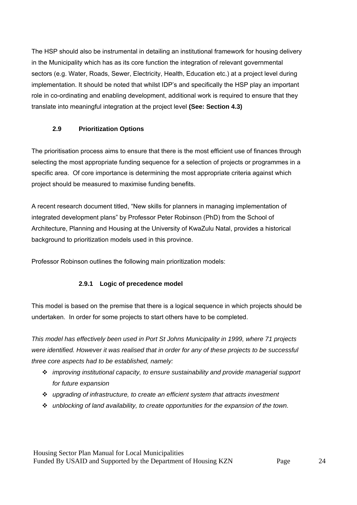The HSP should also be instrumental in detailing an institutional framework for housing delivery in the Municipality which has as its core function the integration of relevant governmental sectors (e.g. Water, Roads, Sewer, Electricity, Health, Education etc.) at a project level during implementation. It should be noted that whilst IDP's and specifically the HSP play an important role in co-ordinating and enabling development, additional work is required to ensure that they translate into meaningful integration at the project level **(See: Section 4.3)**

## **2.9 Prioritization Options**

The prioritisation process aims to ensure that there is the most efficient use of finances through selecting the most appropriate funding sequence for a selection of projects or programmes in a specific area. Of core importance is determining the most appropriate criteria against which project should be measured to maximise funding benefits.

A recent research document titled, "New skills for planners in managing implementation of integrated development plans" by Professor Peter Robinson (PhD) from the School of Architecture, Planning and Housing at the University of KwaZulu Natal, provides a historical background to prioritization models used in this province.

Professor Robinson outlines the following main prioritization models:

## **2.9.1 Logic of precedence model**

This model is based on the premise that there is a logical sequence in which projects should be undertaken. In order for some projects to start others have to be completed.

*This model has effectively been used in Port St Johns Municipality in 1999, where 71 projects were identified. However it was realised that in order for any of these projects to be successful three core aspects had to be established, namely:* 

- *improving institutional capacity, to ensure sustainability and provide managerial support for future expansion*
- *upgrading of infrastructure, to create an efficient system that attracts investment*
- *unblocking of land availability, to create opportunities for the expansion of the town.*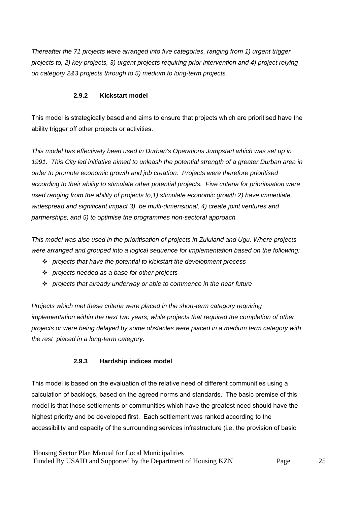*Thereafter the 71 projects were arranged into five categories, ranging from 1) urgent trigger projects to, 2) key projects, 3) urgent projects requiring prior intervention and 4) project relying on category 2&3 projects through to 5) medium to long-term projects.* 

#### **2.9.2 Kickstart model**

This model is strategically based and aims to ensure that projects which are prioritised have the ability trigger off other projects or activities.

*This model has effectively been used in Durban's Operations Jumpstart which was set up in 1991. This City led initiative aimed to unleash the potential strength of a greater Durban area in order to promote economic growth and job creation. Projects were therefore prioritised according to their ability to stimulate other potential projects. Five criteria for prioritisation were used ranging from the ability of projects to,1) stimulate economic growth 2) have immediate, widespread and significant impact 3) be multi-dimensional, 4) create joint ventures and partnerships, and 5) to optimise the programmes non-sectoral approach.* 

*This model was also used in the prioritisation of projects in Zululand and Ugu. Where projects were arranged and grouped into a logical sequence for implementation based on the following:* 

- *projects that have the potential to kickstart the development process*
- *projects needed as a base for other projects*
- *projects that already underway or able to commence in the near future*

*Projects which met these criteria were placed in the short-term category requiring implementation within the next two years, while projects that required the completion of other projects or were being delayed by some obstacles were placed in a medium term category with the rest placed in a long-term category.* 

## **2.9.3 Hardship indices model**

This model is based on the evaluation of the relative need of different communities using a calculation of backlogs, based on the agreed norms and standards. The basic premise of this model is that those settlements or communities which have the greatest need should have the highest priority and be developed first. Each settlement was ranked according to the accessibility and capacity of the surrounding services infrastructure (i.e. the provision of basic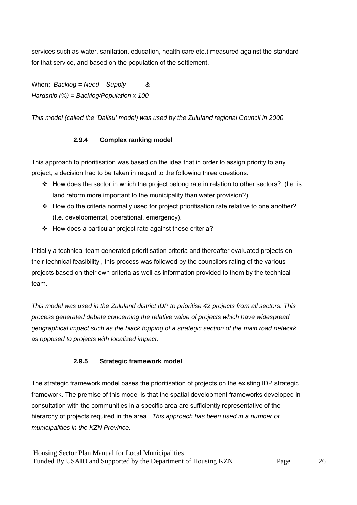services such as water, sanitation, education, health care etc.) measured against the standard for that service, and based on the population of the settlement.

When; *Backlog = Need – Supply & Hardship (%) = Backlog/Population x 100* 

*This model (called the 'Dalisu' model) was used by the Zululand regional Council in 2000.* 

#### **2.9.4 Complex ranking model**

This approach to prioritisation was based on the idea that in order to assign priority to any project, a decision had to be taken in regard to the following three questions.

- How does the sector in which the project belong rate in relation to other sectors? (I.e. is land reform more important to the municipality than water provision?).
- \* How do the criteria normally used for project prioritisation rate relative to one another? (I.e. developmental, operational, emergency).
- How does a particular project rate against these criteria?

Initially a technical team generated prioritisation criteria and thereafter evaluated projects on their technical feasibility , this process was followed by the councilors rating of the various projects based on their own criteria as well as information provided to them by the technical team.

*This model was used in the Zululand district IDP to prioritise 42 projects from all sectors. This process generated debate concerning the relative value of projects which have widespread geographical impact such as the black topping of a strategic section of the main road network as opposed to projects with localized impact.* 

#### **2.9.5 Strategic framework model**

The strategic framework model bases the prioritisation of projects on the existing IDP strategic framework. The premise of this model is that the spatial development frameworks developed in consultation with the communities in a specific area are sufficiently representative of the hierarchy of projects required in the area. *This approach has been used in a number of municipalities in the KZN Province.*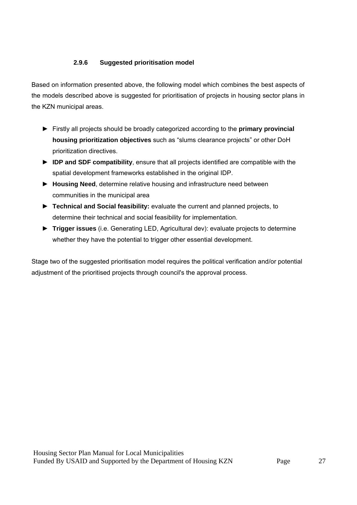## **2.9.6 Suggested prioritisation model**

Based on information presented above, the following model which combines the best aspects of the models described above is suggested for prioritisation of projects in housing sector plans in the KZN municipal areas.

- ► Firstly all projects should be broadly categorized according to the **primary provincial housing prioritization objectives** such as "slums clearance projects" or other DoH prioritization directives.
- ► **IDP and SDF compatibility**, ensure that all projects identified are compatible with the spatial development frameworks established in the original IDP.
- ► **Housing Need**, determine relative housing and infrastructure need between communities in the municipal area
- ► **Technical and Social feasibility:** evaluate the current and planned projects, to determine their technical and social feasibility for implementation.
- ► **Trigger issues** (i.e. Generating LED, Agricultural dev): evaluate projects to determine whether they have the potential to trigger other essential development.

Stage two of the suggested prioritisation model requires the political verification and/or potential adjustment of the prioritised projects through council's the approval process.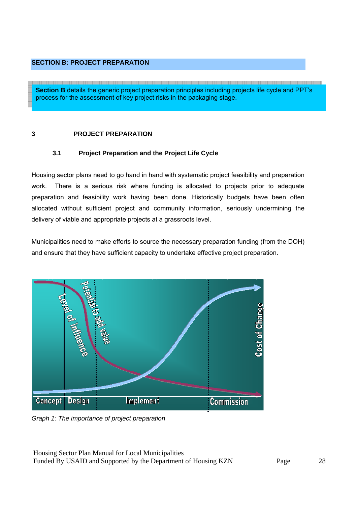## **SECTION B: PROJECT PREPARATION**

**Section B** details the generic project preparation principles including projects life cycle and PPT's process for the assessment of key project risks in the packaging stage.

#### **3 PROJECT PREPARATION**

## **3.1 Project Preparation and the Project Life Cycle**

Housing sector plans need to go hand in hand with systematic project feasibility and preparation work. There is a serious risk where funding is allocated to projects prior to adequate preparation and feasibility work having been done. Historically budgets have been often allocated without sufficient project and community information, seriously undermining the delivery of viable and appropriate projects at a grassroots level.

Municipalities need to make efforts to source the necessary preparation funding (from the DOH) and ensure that they have sufficient capacity to undertake effective project preparation.



*Graph 1: The importance of project preparation*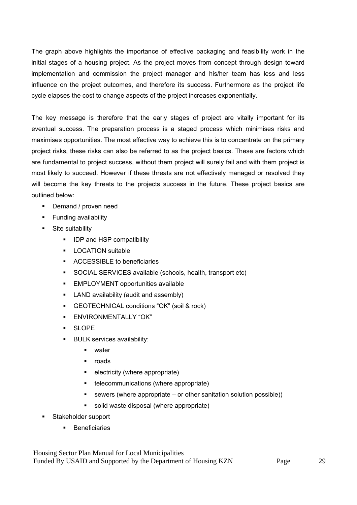The graph above highlights the importance of effective packaging and feasibility work in the initial stages of a housing project. As the project moves from concept through design toward implementation and commission the project manager and his/her team has less and less influence on the project outcomes, and therefore its success. Furthermore as the project life cycle elapses the cost to change aspects of the project increases exponentially.

The key message is therefore that the early stages of project are vitally important for its eventual success. The preparation process is a staged process which minimises risks and maximises opportunities. The most effective way to achieve this is to concentrate on the primary project risks, these risks can also be referred to as the project basics. These are factors which are fundamental to project success, without them project will surely fail and with them project is most likely to succeed. However if these threats are not effectively managed or resolved they will become the key threats to the projects success in the future. These project basics are outlined below:

- Demand / proven need
- **Funding availability**
- **Site suitability** 
	- **IDP and HSP compatibility**
	- **LOCATION suitable**
	- ACCESSIBLE to beneficiaries
	- SOCIAL SERVICES available (schools, health, transport etc)
	- EMPLOYMENT opportunities available
	- **LAND** availability (audit and assembly)
	- GEOTECHNICAL conditions "OK" (soil & rock)
	- **ENVIRONMENTALLY "OK"**
	- SLOPE
	- **BULK services availability:** 
		- water
		- $\blacksquare$  roads
		- **e** electricity (where appropriate)
		- **•** telecommunications (where appropriate)
		- $\blacksquare$  sewers (where appropriate or other sanitation solution possible))
		- solid waste disposal (where appropriate)
- **Stakeholder support** 
	- **Beneficiaries**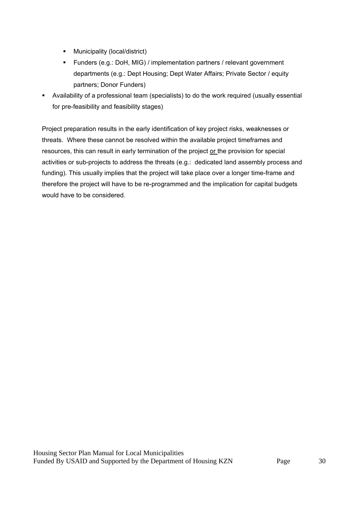- **Municipality (local/district)**
- Funders (e.g.: DoH, MIG) / implementation partners / relevant government departments (e.g.: Dept Housing; Dept Water Affairs; Private Sector / equity partners; Donor Funders)
- Availability of a professional team (specialists) to do the work required (usually essential for pre-feasibility and feasibility stages)

Project preparation results in the early identification of key project risks, weaknesses or threats. Where these cannot be resolved within the available project timeframes and resources, this can result in early termination of the project or the provision for special activities or sub-projects to address the threats (e.g.: dedicated land assembly process and funding). This usually implies that the project will take place over a longer time-frame and therefore the project will have to be re-programmed and the implication for capital budgets would have to be considered.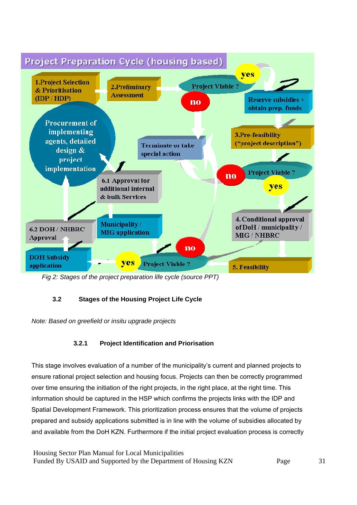

*Fig 2: Stages of the project preparation life cycle (source PPT)* 

## **3.2 Stages of the Housing Project Life Cycle**

*Note: Based on greefield or insitu upgrade projects*

# **3.2.1 Project Identification and Priorisation**

This stage involves evaluation of a number of the municipality's current and planned projects to ensure rational project selection and housing focus. Projects can then be correctly programmed over time ensuring the initiation of the right projects, in the right place, at the right time. This information should be captured in the HSP which confirms the projects links with the IDP and Spatial Development Framework. This prioritization process ensures that the volume of projects prepared and subsidy applications submitted is in line with the volume of subsidies allocated by and available from the DoH KZN. Furthermore if the initial project evaluation process is correctly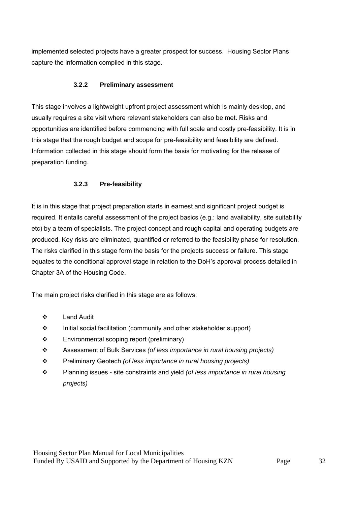implemented selected projects have a greater prospect for success. Housing Sector Plans capture the information compiled in this stage.

## **3.2.2 Preliminary assessment**

This stage involves a lightweight upfront project assessment which is mainly desktop, and usually requires a site visit where relevant stakeholders can also be met. Risks and opportunities are identified before commencing with full scale and costly pre-feasibility. It is in this stage that the rough budget and scope for pre-feasibility and feasibility are defined. Information collected in this stage should form the basis for motivating for the release of preparation funding.

## **3.2.3 Pre-feasibility**

It is in this stage that project preparation starts in earnest and significant project budget is required. It entails careful assessment of the project basics (e.g.: land availability, site suitability etc) by a team of specialists. The project concept and rough capital and operating budgets are produced. Key risks are eliminated, quantified or referred to the feasibility phase for resolution. The risks clarified in this stage form the basis for the projects success or failure. This stage equates to the conditional approval stage in relation to the DoH's approval process detailed in Chapter 3A of the Housing Code.

The main project risks clarified in this stage are as follows:

- Land Audit
- $\div$  Initial social facilitation (community and other stakeholder support)
- Environmental scoping report (preliminary)
- Assessment of Bulk Services *(of less importance in rural housing projects)*
- Preliminary Geotech *(of less importance in rural housing projects)*
- Planning issues site constraints and yield *(of less importance in rural housing projects)*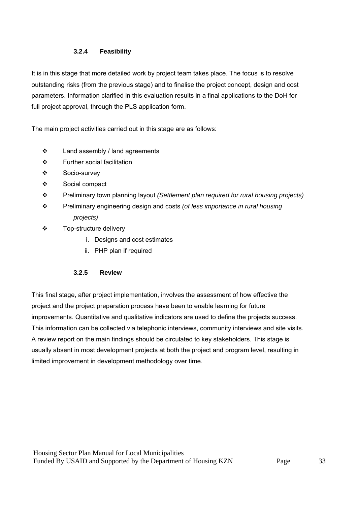## **3.2.4 Feasibility**

It is in this stage that more detailed work by project team takes place. The focus is to resolve outstanding risks (from the previous stage) and to finalise the project concept, design and cost parameters. Information clarified in this evaluation results in a final applications to the DoH for full project approval, through the PLS application form.

The main project activities carried out in this stage are as follows:

- Land assembly / land agreements
- ❖ Further social facilitation
- Socio-survey
- Social compact
- Preliminary town planning layout *(Settlement plan required for rural housing projects)*
- Preliminary engineering design and costs *(of less importance in rural housing projects)*
- Top-structure delivery
	- i. Designs and cost estimates
	- ii. PHP plan if required

## **3.2.5 Review**

This final stage, after project implementation, involves the assessment of how effective the project and the project preparation process have been to enable learning for future improvements. Quantitative and qualitative indicators are used to define the projects success. This information can be collected via telephonic interviews, community interviews and site visits. A review report on the main findings should be circulated to key stakeholders. This stage is usually absent in most development projects at both the project and program level, resulting in limited improvement in development methodology over time.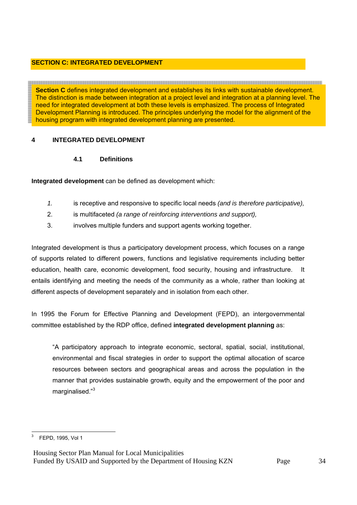## **SECTION C: INTEGRATED DEVELOPMENT**

**Section C** defines integrated development and establishes its links with sustainable development. The distinction is made between integration at a project level and integration at a planning level. The need for integrated development at both these levels is emphasized. The process of Integrated Development Planning is introduced. The principles underlying the model for the alignment of the housing program with integrated development planning are presented.

## **4 INTEGRATED DEVELOPMENT**

## **4.1 Definitions**

**Integrated development** can be defined as development which:

- *1.* is receptive and responsive to specific local needs *(and is therefore participative),*
- 2. is multifaceted *(a range of reinforcing interventions and support),*
- 3. involves multiple funders and support agents working together.

Integrated development is thus a participatory development process, which focuses on a range of supports related to different powers, functions and legislative requirements including better education, health care, economic development, food security, housing and infrastructure. It entails identifying and meeting the needs of the community as a whole, rather than looking at different aspects of development separately and in isolation from each other.

In 1995 the Forum for Effective Planning and Development (FEPD), an intergovernmental committee established by the RDP office, defined **integrated development planning** as:

"A participatory approach to integrate economic, sectoral, spatial, social, institutional, environmental and fiscal strategies in order to support the optimal allocation of scarce resources between sectors and geographical areas and across the population in the manner that provides sustainable growth, equity and the empowerment of the poor and marginalised."<sup>3</sup>

 3 FEPD, 1995, Vol 1

Housing Sector Plan Manual for Local Municipalities Funded By USAID and Supported by the Department of Housing KZN Page 34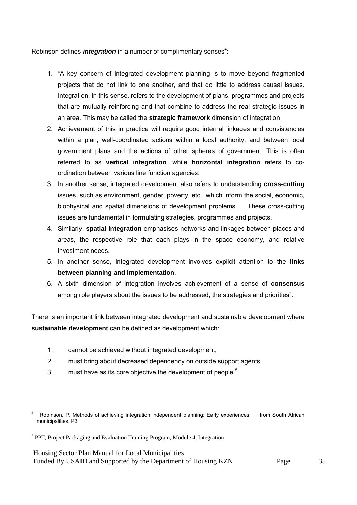Robinson defines *integration* in a number of complimentary senses<sup>4</sup>:

- 1. "A key concern of integrated development planning is to move beyond fragmented projects that do not link to one another, and that do little to address causal issues. Integration, in this sense, refers to the development of plans, programmes and projects that are mutually reinforcing and that combine to address the real strategic issues in an area. This may be called the **strategic framework** dimension of integration.
- 2. Achievement of this in practice will require good internal linkages and consistencies within a plan, well-coordinated actions within a local authority, and between local government plans and the actions of other spheres of government. This is often referred to as **vertical integration**, while **horizontal integration** refers to coordination between various line function agencies.
- 3. In another sense, integrated development also refers to understanding **cross-cutting** issues, such as environment, gender, poverty, etc., which inform the social, economic, biophysical and spatial dimensions of development problems. These cross-cutting issues are fundamental in formulating strategies, programmes and projects.
- 4. Similarly, **spatial integration** emphasises networks and linkages between places and areas, the respective role that each plays in the space economy, and relative investment needs.
- 5. In another sense, integrated development involves explicit attention to the **links between planning and implementation**.
- 6. A sixth dimension of integration involves achievement of a sense of **consensus** among role players about the issues to be addressed, the strategies and priorities".

There is an important link between integrated development and sustainable development where **sustainable development** can be defined as development which:

- 1. cannot be achieved without integrated development,
- 2. must bring about decreased dependency on outside support agents,
- 3. must have as its core objective the development of people.<sup>5</sup>

 4 Robinson, P, Methods of achieving integration independent planning: Early experiences from South African municipalities, P3

<sup>&</sup>lt;sup>5</sup> PPT, Project Packaging and Evaluation Training Program, Module 4, Integration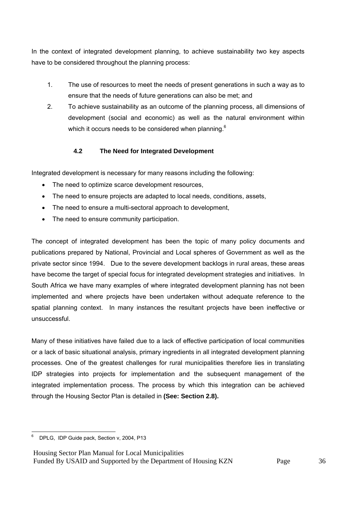In the context of integrated development planning, to achieve sustainability two key aspects have to be considered throughout the planning process:

- 1. The use of resources to meet the needs of present generations in such a way as to ensure that the needs of future generations can also be met; and
- 2. To achieve sustainability as an outcome of the planning process, all dimensions of development (social and economic) as well as the natural environment within which it occurs needs to be considered when planning.<sup>6</sup>

## **4.2 The Need for Integrated Development**

Integrated development is necessary for many reasons including the following:

- The need to optimize scarce development resources,
- The need to ensure projects are adapted to local needs, conditions, assets,
- The need to ensure a multi-sectoral approach to development,
- The need to ensure community participation.

The concept of integrated development has been the topic of many policy documents and publications prepared by National, Provincial and Local spheres of Government as well as the private sector since 1994. Due to the severe development backlogs in rural areas, these areas have become the target of special focus for integrated development strategies and initiatives. In South Africa we have many examples of where integrated development planning has not been implemented and where projects have been undertaken without adequate reference to the spatial planning context. In many instances the resultant projects have been ineffective or unsuccessful.

Many of these initiatives have failed due to a lack of effective participation of local communities or a lack of basic situational analysis, primary ingredients in all integrated development planning processes. One of the greatest challenges for rural municipalities therefore lies in translating IDP strategies into projects for implementation and the subsequent management of the integrated implementation process. The process by which this integration can be achieved through the Housing Sector Plan is detailed in **(See: Section 2.8).**

 6 DPLG, IDP Guide pack, Section v, 2004, P13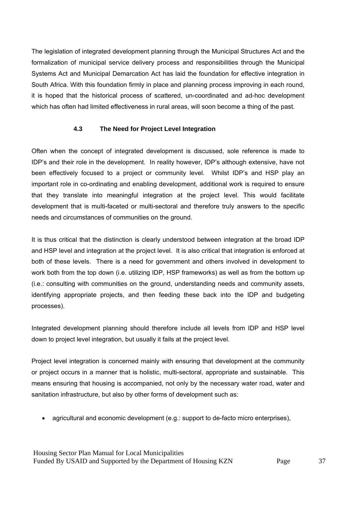The legislation of integrated development planning through the Municipal Structures Act and the formalization of municipal service delivery process and responsibilities through the Municipal Systems Act and Municipal Demarcation Act has laid the foundation for effective integration in South Africa. With this foundation firmly in place and planning process improving in each round, it is hoped that the historical process of scattered, un-coordinated and ad-hoc development which has often had limited effectiveness in rural areas, will soon become a thing of the past.

#### **4.3 The Need for Project Level Integration**

Often when the concept of integrated development is discussed, sole reference is made to IDP's and their role in the development. In reality however, IDP's although extensive, have not been effectively focused to a project or community level. Whilst IDP's and HSP play an important role in co-ordinating and enabling development, additional work is required to ensure that they translate into meaningful integration at the project level. This would facilitate development that is multi-faceted or multi-sectoral and therefore truly answers to the specific needs and circumstances of communities on the ground.

It is thus critical that the distinction is clearly understood between integration at the broad IDP and HSP level and integration at the project level. It is also critical that integration is enforced at both of these levels. There is a need for government and others involved in development to work both from the top down (i.e. utilizing IDP, HSP frameworks) as well as from the bottom up (i.e.: consulting with communities on the ground, understanding needs and community assets, identifying appropriate projects, and then feeding these back into the IDP and budgeting processes).

Integrated development planning should therefore include all levels from IDP and HSP level down to project level integration, but usually it fails at the project level.

Project level integration is concerned mainly with ensuring that development at the community or project occurs in a manner that is holistic, multi-sectoral, appropriate and sustainable. This means ensuring that housing is accompanied, not only by the necessary water road, water and sanitation infrastructure, but also by other forms of development such as:

• agricultural and economic development (e.g.: support to de-facto micro enterprises),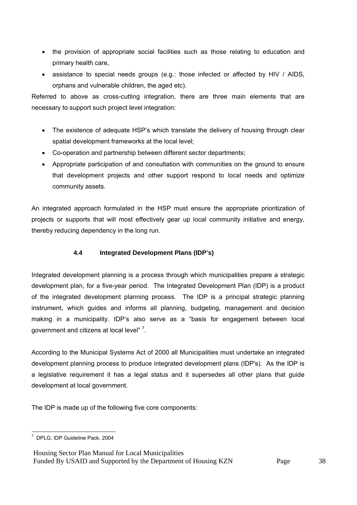- the provision of appropriate social facilities such as those relating to education and primary health care,
- assistance to special needs groups (e.g.: those infected or affected by HIV / AIDS, orphans and vulnerable children, the aged etc).

Referred to above as cross-cutting integration, there are three main elements that are necessary to support such project level integration:

- The existence of adequate HSP's which translate the delivery of housing through clear spatial development frameworks at the local level;
- Co-operation and partnership between different sector departments;
- Appropriate participation of and consultation with communities on the ground to ensure that development projects and other support respond to local needs and optimize community assets.

An integrated approach formulated in the HSP must ensure the appropriate prioritization of projects or supports that will most effectively gear up local community initiative and energy, thereby reducing dependency in the long run.

## **4.4 Integrated Development Plans (IDP's)**

Integrated development planning is a process through which municipalities prepare a strategic development plan, for a five-year period. The Integrated Development Plan (IDP) is a product of the integrated development planning process. The IDP is a principal strategic planning instrument, which guides and informs all planning, budgeting, management and decision making in a municipality. IDP's also serve as a "basis for engagement between local government and citizens at local level" <sup>7</sup>.

According to the Municipal Systems Act of 2000 all Municipalities must undertake an integrated development planning process to produce integrated development plans (IDP's). As the IDP is a legislative requirement it has a legal status and it supersedes all other plans that guide development at local government.

The IDP is made up of the following five core components:

 7 DPLG, IDP Guideline Pack, 2004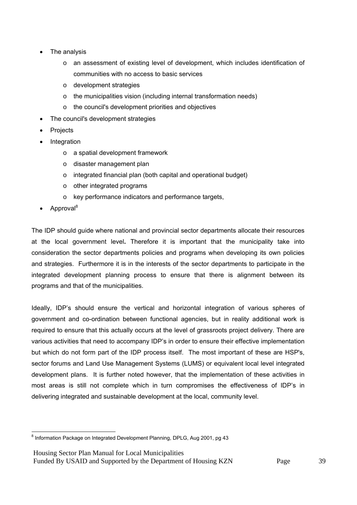- The analysis
	- $\circ$  an assessment of existing level of development, which includes identification of communities with no access to basic services
	- o development strategies
	- o the municipalities vision (including internal transformation needs)
	- o the council's development priorities and objectives
- The council's development strategies
- **Projects**
- **Integration** 
	- o a spatial development framework
	- o disaster management plan
	- o integrated financial plan (both capital and operational budget)
	- o other integrated programs
	- o key performance indicators and performance targets,
- Approval<sup>8</sup>

The IDP should guide where national and provincial sector departments allocate their resources at the local government level**.** Therefore it is important that the municipality take into consideration the sector departments policies and programs when developing its own policies and strategies. Furthermore it is in the interests of the sector departments to participate in the integrated development planning process to ensure that there is alignment between its programs and that of the municipalities.

Ideally, IDP's should ensure the vertical and horizontal integration of various spheres of government and co-ordination between functional agencies, but in reality additional work is required to ensure that this actually occurs at the level of grassroots project delivery. There are various activities that need to accompany IDP's in order to ensure their effective implementation but which do not form part of the IDP process itself. The most important of these are HSP's, sector forums and Land Use Management Systems (LUMS) or equivalent local level integrated development plans. It is further noted however, that the implementation of these activities in most areas is still not complete which in turn compromises the effectiveness of IDP's in delivering integrated and sustainable development at the local, community level.

and the matter of the matter of the matter of the matter of the matter of the morntal of the morntal of the mo<br>Information Package on Integrated Development Planning, DPLG, Aug 2001, pg 43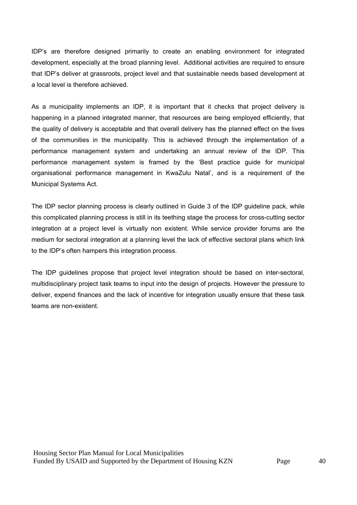IDP's are therefore designed primarily to create an enabling environment for integrated development, especially at the broad planning level. Additional activities are required to ensure that IDP's deliver at grassroots, project level and that sustainable needs based development at a local level is therefore achieved.

As a municipality implements an IDP, it is important that it checks that project delivery is happening in a planned integrated manner, that resources are being employed efficiently, that the quality of delivery is acceptable and that overall delivery has the planned effect on the lives of the communities in the municipality. This is achieved through the implementation of a performance management system and undertaking an annual review of the IDP. This performance management system is framed by the 'Best practice guide for municipal organisational performance management in KwaZulu Natal', and is a requirement of the Municipal Systems Act.

The IDP sector planning process is clearly outlined in Guide 3 of the IDP guideline pack, while this complicated planning process is still in its teething stage the process for cross-cutting sector integration at a project level is virtually non existent. While service provider forums are the medium for sectoral integration at a planning level the lack of effective sectoral plans which link to the IDP's often hampers this integration process.

The IDP guidelines propose that project level integration should be based on inter-sectoral, multidisciplinary project task teams to input into the design of projects. However the pressure to deliver, expend finances and the lack of incentive for integration usually ensure that these task teams are non-existent.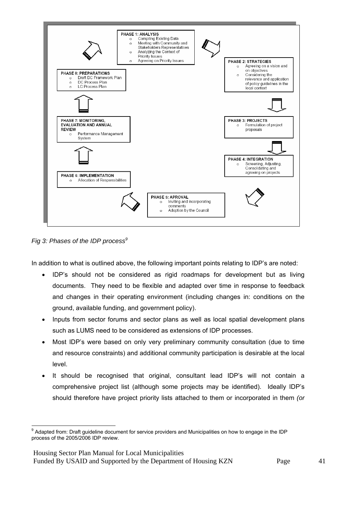

*Fig 3: Phases of the IDP process<sup>9</sup>*

In addition to what is outlined above, the following important points relating to IDP's are noted:

- IDP's should not be considered as rigid roadmaps for development but as living documents. They need to be flexible and adapted over time in response to feedback and changes in their operating environment (including changes in: conditions on the ground, available funding, and government policy).
- Inputs from sector forums and sector plans as well as local spatial development plans such as LUMS need to be considered as extensions of IDP processes.
- Most IDP's were based on only very preliminary community consultation (due to time and resource constraints) and additional community participation is desirable at the local level.
- It should be recognised that original, consultant lead IDP's will not contain a comprehensive project list (although some projects may be identified). Ideally IDP's should therefore have project priority lists attached to them or incorporated in them *(or*

Housing Sector Plan Manual for Local Municipalities

Funded By USAID and Supported by the Department of Housing KZN Page 41

 <sup>9</sup> Adapted from: Draft guideline document for service providers and Municipalities on how to engage in the IDP process of the 2005/2006 IDP review.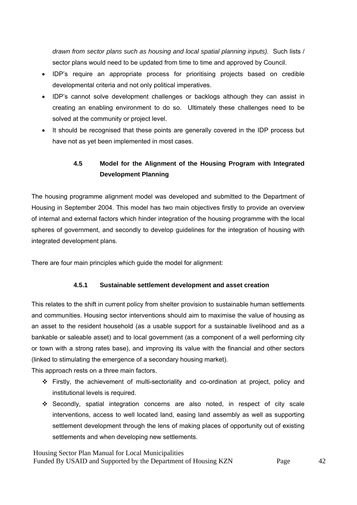*drawn from sector plans such as housing and local spatial planning inputs).* Such lists / sector plans would need to be updated from time to time and approved by Council.

- IDP's require an appropriate process for prioritising projects based on credible developmental criteria and not only political imperatives.
- IDP's cannot solve development challenges or backlogs although they can assist in creating an enabling environment to do so. Ultimately these challenges need to be solved at the community or project level.
- It should be recognised that these points are generally covered in the IDP process but have not as yet been implemented in most cases.

# **4.5 Model for the Alignment of the Housing Program with Integrated Development Planning**

The housing programme alignment model was developed and submitted to the Department of Housing in September 2004. This model has two main objectives firstly to provide an overview of internal and external factors which hinder integration of the housing programme with the local spheres of government, and secondly to develop guidelines for the integration of housing with integrated development plans.

There are four main principles which guide the model for alignment:

## **4.5.1 Sustainable settlement development and asset creation**

This relates to the shift in current policy from shelter provision to sustainable human settlements and communities. Housing sector interventions should aim to maximise the value of housing as an asset to the resident household (as a usable support for a sustainable livelihood and as a bankable or saleable asset) and to local government (as a component of a well performing city or town with a strong rates base), and improving its value with the financial and other sectors (linked to stimulating the emergence of a secondary housing market).

This approach rests on a three main factors.

- $\div$  Firstly, the achievement of multi-sectoriality and co-ordination at project, policy and institutional levels is required.
- Secondly, spatial integration concerns are also noted, in respect of city scale interventions, access to well located land, easing land assembly as well as supporting settlement development through the lens of making places of opportunity out of existing settlements and when developing new settlements.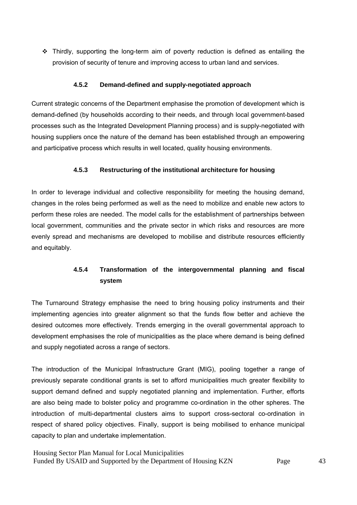Thirdly, supporting the long-term aim of poverty reduction is defined as entailing the provision of security of tenure and improving access to urban land and services.

#### **4.5.2 Demand-defined and supply-negotiated approach**

Current strategic concerns of the Department emphasise the promotion of development which is demand-defined (by households according to their needs, and through local government-based processes such as the Integrated Development Planning process) and is supply-negotiated with housing suppliers once the nature of the demand has been established through an empowering and participative process which results in well located, quality housing environments.

## **4.5.3 Restructuring of the institutional architecture for housing**

In order to leverage individual and collective responsibility for meeting the housing demand, changes in the roles being performed as well as the need to mobilize and enable new actors to perform these roles are needed. The model calls for the establishment of partnerships between local government, communities and the private sector in which risks and resources are more evenly spread and mechanisms are developed to mobilise and distribute resources efficiently and equitably.

# **4.5.4 Transformation of the intergovernmental planning and fiscal system**

The Turnaround Strategy emphasise the need to bring housing policy instruments and their implementing agencies into greater alignment so that the funds flow better and achieve the desired outcomes more effectively*.* Trends emerging in the overall governmental approach to development emphasises the role of municipalities as the place where demand is being defined and supply negotiated across a range of sectors.

The introduction of the Municipal Infrastructure Grant (MIG), pooling together a range of previously separate conditional grants is set to afford municipalities much greater flexibility to support demand defined and supply negotiated planning and implementation. Further, efforts are also being made to bolster policy and programme co-ordination in the other spheres. The introduction of multi-departmental clusters aims to support cross-sectoral co-ordination in respect of shared policy objectives. Finally, support is being mobilised to enhance municipal capacity to plan and undertake implementation.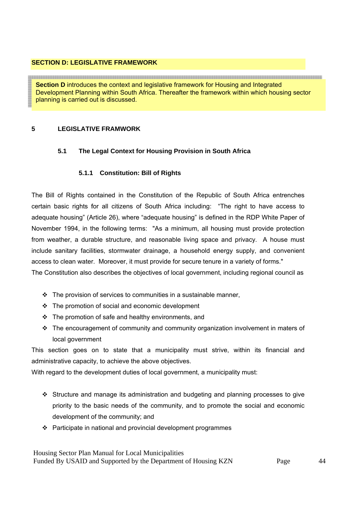#### **SECTION D: LEGISLATIVE FRAMEWORK**

and the contract of the contract of the contract of the contract of the contract of the contract of the contract of the contract of the contract of the contract of the contract of the contract of the contract of the contra **Section D** introduces the context and legislative framework for Housing and Integrated Development Planning within South Africa. Thereafter the framework within which housing sector planning is carried out is discussed.

## **5 LEGISLATIVE FRAMWORK**

## **5.1 The Legal Context for Housing Provision in South Africa**

## **5.1.1 Constitution: Bill of Rights**

The Bill of Rights contained in the Constitution of the Republic of South Africa entrenches certain basic rights for all citizens of South Africa including: "The right to have access to adequate housing" (Article 26), where "adequate housing" is defined in the RDP White Paper of November 1994, in the following terms: "As a minimum, all housing must provide protection from weather, a durable structure, and reasonable living space and privacy. A house must include sanitary facilities, stormwater drainage, a household energy supply, and convenient access to clean water. Moreover, it must provide for secure tenure in a variety of forms."

The Constitution also describes the objectives of local government, including regional council as

- $\cdot \cdot$  The provision of services to communities in a sustainable manner,
- $\div$  The promotion of social and economic development
- $\cdot \cdot$  The promotion of safe and healthy environments, and
- $\div$  The encouragement of community and community organization involvement in maters of local government

This section goes on to state that a municipality must strive, within its financial and administrative capacity, to achieve the above objectives.

With regard to the development duties of local government, a municipality must:

- Structure and manage its administration and budgeting and planning processes to give priority to the basic needs of the community, and to promote the social and economic development of the community; and
- $\cdot \cdot$  Participate in national and provincial development programmes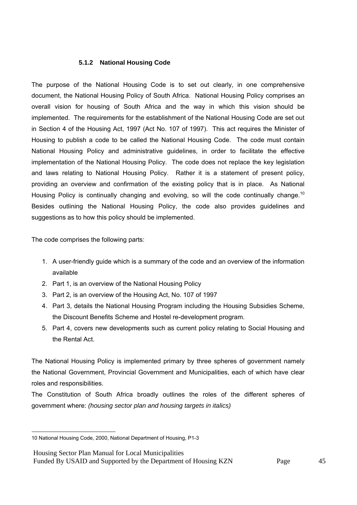## **5.1.2 National Housing Code**

The purpose of the National Housing Code is to set out clearly, in one comprehensive document, the National Housing Policy of South Africa. National Housing Policy comprises an overall vision for housing of South Africa and the way in which this vision should be implemented. The requirements for the establishment of the National Housing Code are set out in Section 4 of the Housing Act, 1997 (Act No. 107 of 1997). This act requires the Minister of Housing to publish a code to be called the National Housing Code. The code must contain National Housing Policy and administrative guidelines, in order to facilitate the effective implementation of the National Housing Policy. The code does not replace the key legislation and laws relating to National Housing Policy. Rather it is a statement of present policy, providing an overview and confirmation of the existing policy that is in place. As National Housing Policy is continually changing and evolving, so will the code continually change.<sup>10</sup> Besides outlining the National Housing Policy, the code also provides guidelines and suggestions as to how this policy should be implemented.

The code comprises the following parts:

- 1. A user-friendly guide which is a summary of the code and an overview of the information available
- 2. Part 1, is an overview of the National Housing Policy
- 3. Part 2, is an overview of the Housing Act, No. 107 of 1997
- 4. Part 3, details the National Housing Program including the Housing Subsidies Scheme, the Discount Benefits Scheme and Hostel re-development program.
- 5. Part 4, covers new developments such as current policy relating to Social Housing and the Rental Act.

The National Housing Policy is implemented primary by three spheres of government namely the National Government, Provincial Government and Municipalities, each of which have clear roles and responsibilities.

The Constitution of South Africa broadly outlines the roles of the different spheres of government where: *(housing sector plan and housing targets in italics)*

Housing Sector Plan Manual for Local Municipalities

Funded By USAID and Supported by the Department of Housing KZN Page 45

 10 National Housing Code, 2000, National Department of Housing, P1-3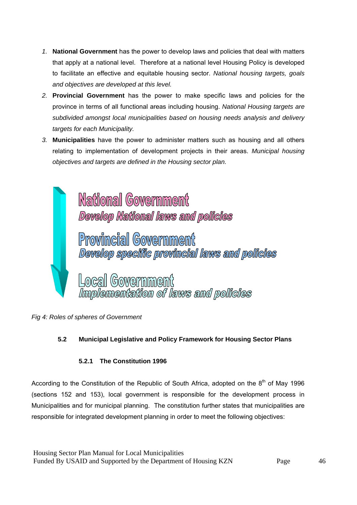- *1.* **National Government** has the power to develop laws and policies that deal with matters that apply at a national level. Therefore at a national level Housing Policy is developed to facilitate an effective and equitable housing sector. *National housing targets, goals and objectives are developed at this level.*
- *2.* **Provincial Government** has the power to make specific laws and policies for the province in terms of all functional areas including housing. *National Housing targets are subdivided amongst local municipalities based on housing needs analysis and delivery targets for each Municipality.*
- *3.* **Municipalities** have the power to administer matters such as housing and all others relating to implementation of development projects in their areas. *Municipal housing objectives and targets are defined in the Housing sector plan.*



*Fig 4: Roles of spheres of Government* 

# **5.2 Municipal Legislative and Policy Framework for Housing Sector Plans**

## **5.2.1 The Constitution 1996**

According to the Constitution of the Republic of South Africa, adopted on the  $8<sup>th</sup>$  of May 1996 (sections 152 and 153), local government is responsible for the development process in Municipalities and for municipal planning. The constitution further states that municipalities are responsible for integrated development planning in order to meet the following objectives: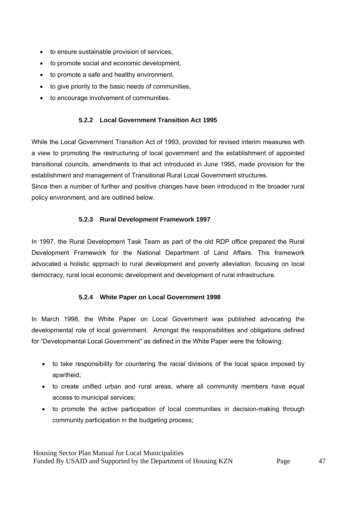- to ensure sustainable provision of services,
- to promote social and economic development,
- to promote a safe and healthy environment,
- to give priority to the basic needs of communities,
- to encourage involvement of communities.

## **5.2.2 Local Government Transition Act 1995**

While the Local Government Transition Act of 1993, provided for revised interim measures with a view to promoting the restructuring of local government and the establishment of appointed transitional councils, amendments to that act introduced in June 1995, made provision for the establishment and management of Transitional Rural Local Government structures.

Since then a number of further and positive changes have been introduced in the broader rural policy environment, and are outlined below.

## **5.2.3 Rural Development Framework 1997**

In 1997, the Rural Development Task Team as part of the old RDP office prepared the Rural Development Framework for the National Department of Land Affairs. This framework advocated a holistic approach to rural development and poverty alleviation, focusing on local democracy, rural local economic development and development of rural infrastructure.

#### **5.2.4 White Paper on Local Government 1998**

In March 1998, the White Paper on Local Government was published advocating the developmental role of local government. Amongst the responsibilities and obligations defined for "Developmental Local Government" as defined in the White Paper were the following:

- to take responsibility for countering the racial divisions of the local space imposed by apartheid;
- to create unified urban and rural areas, where all community members have equal access to municipal services;
- to promote the active participation of local communities in decision-making through community participation in the budgeting process;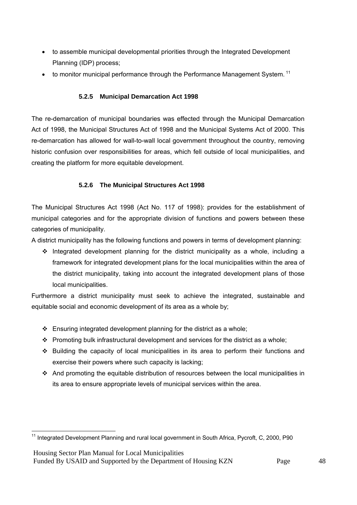- to assemble municipal developmental priorities through the Integrated Development Planning (IDP) process;
- $\bullet$  to monitor municipal performance through the Performance Management System.<sup>11</sup>

## **5.2.5 Municipal Demarcation Act 1998**

The re-demarcation of municipal boundaries was effected through the Municipal Demarcation Act of 1998, the Municipal Structures Act of 1998 and the Municipal Systems Act of 2000. This re-demarcation has allowed for wall-to-wall local government throughout the country, removing historic confusion over responsibilities for areas, which fell outside of local municipalities, and creating the platform for more equitable development.

## **5.2.6 The Municipal Structures Act 1998**

The Municipal Structures Act 1998 (Act No. 117 of 1998): provides for the establishment of municipal categories and for the appropriate division of functions and powers between these categories of municipality.

A district municipality has the following functions and powers in terms of development planning:

 $\cdot \cdot$  Integrated development planning for the district municipality as a whole, including a framework for integrated development plans for the local municipalities within the area of the district municipality, taking into account the integrated development plans of those local municipalities.

Furthermore a district municipality must seek to achieve the integrated, sustainable and equitable social and economic development of its area as a whole by;

- $\div$  Ensuring integrated development planning for the district as a whole;
- Promoting bulk infrastructural development and services for the district as a whole;
- $\div$  Building the capacity of local municipalities in its area to perform their functions and exercise their powers where such capacity is lacking;
- And promoting the equitable distribution of resources between the local municipalities in its area to ensure appropriate levels of municipal services within the area.

Housing Sector Plan Manual for Local Municipalities

  $11$  Integrated Development Planning and rural local government in South Africa, Pycroft, C, 2000, P90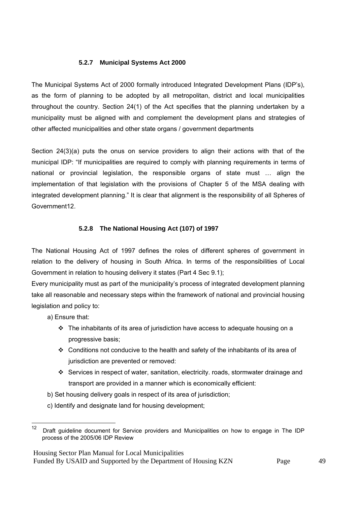## **5.2.7 Municipal Systems Act 2000**

The Municipal Systems Act of 2000 formally introduced Integrated Development Plans (IDP's), as the form of planning to be adopted by all metropolitan, district and local municipalities throughout the country. Section 24(1) of the Act specifies that the planning undertaken by a municipality must be aligned with and complement the development plans and strategies of other affected municipalities and other state organs / government departments

Section 24(3)(a) puts the onus on service providers to align their actions with that of the municipal IDP: "If municipalities are required to comply with planning requirements in terms of national or provincial legislation, the responsible organs of state must … align the implementation of that legislation with the provisions of Chapter 5 of the MSA dealing with integrated development planning." It is clear that alignment is the responsibility of all Spheres of Government12.

## **5.2.8 The National Housing Act (107) of 1997**

The National Housing Act of 1997 defines the roles of different spheres of government in relation to the delivery of housing in South Africa. In terms of the responsibilities of Local Government in relation to housing delivery it states (Part 4 Sec 9.1);

Every municipality must as part of the municipality's process of integrated development planning take all reasonable and necessary steps within the framework of national and provincial housing legislation and policy to:

a) Ensure that:

- $\div$  The inhabitants of its area of jurisdiction have access to adequate housing on a progressive basis;
- Conditions not conducive to the health and safety of the inhabitants of its area of jurisdiction are prevented or removed:
- Services in respect of water, sanitation, electricity. roads, stormwater drainage and transport are provided in a manner which is economically efficient:
- b) Set housing delivery goals in respect of its area of jurisdiction;
- c) Identify and designate land for housing development;

Housing Sector Plan Manual for Local Municipalities

```
Funded By USAID and Supported by the Department of Housing KZN Page 49
```
<sup>12</sup> Draft guideline document for Service providers and Municipalities on how to engage in The IDP process of the 2005/06 IDP Review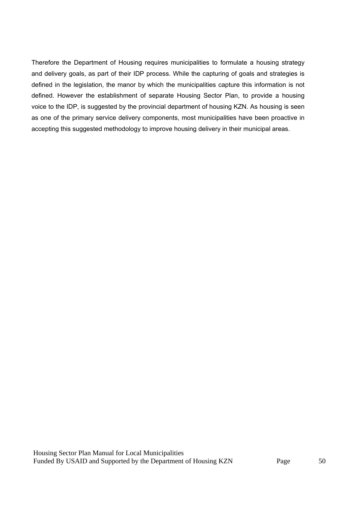Therefore the Department of Housing requires municipalities to formulate a housing strategy and delivery goals, as part of their IDP process. While the capturing of goals and strategies is defined in the legislation, the manor by which the municipalities capture this information is not defined. However the establishment of separate Housing Sector Plan, to provide a housing voice to the IDP, is suggested by the provincial department of housing KZN. As housing is seen as one of the primary service delivery components, most municipalities have been proactive in accepting this suggested methodology to improve housing delivery in their municipal areas.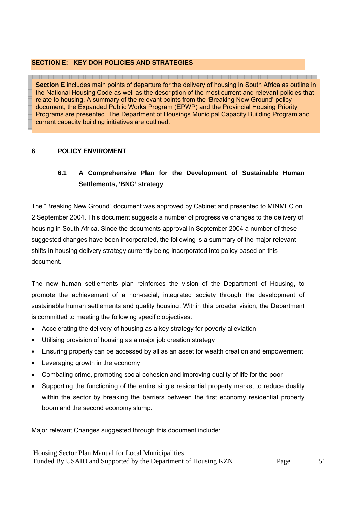## **SECTION E: KEY DOH POLICIES AND STRATEGIES**

<u> 1989 - Johann Stoff, Amerikaansk politiker (\* 1989)</u> **Section E** includes main points of departure for the delivery of housing in South Africa as outline in the National Housing Code as well as the description of the most current and relevant policies that relate to housing. A summary of the relevant points from the 'Breaking New Ground' policy document, the Expanded Public Works Program (EPWP) and the Provincial Housing Priority Programs are presented. The Department of Housings Municipal Capacity Building Program and current capacity building initiatives are outlined.

## **6 POLICY ENVIROMENT**

# **6.1 A Comprehensive Plan for the Development of Sustainable Human Settlements, 'BNG' strategy**

The "Breaking New Ground" document was approved by Cabinet and presented to MINMEC on 2 September 2004. This document suggests a number of progressive changes to the delivery of housing in South Africa. Since the documents approval in September 2004 a number of these suggested changes have been incorporated, the following is a summary of the major relevant shifts in housing delivery strategy currently being incorporated into policy based on this document.

The new human settlements plan reinforces the vision of the Department of Housing, to promote the achievement of a non-racial, integrated society through the development of sustainable human settlements and quality housing. Within this broader vision, the Department is committed to meeting the following specific objectives:

- Accelerating the delivery of housing as a key strategy for poverty alleviation
- Utilising provision of housing as a major job creation strategy
- Ensuring property can be accessed by all as an asset for wealth creation and empowerment
- Leveraging growth in the economy
- Combating crime, promoting social cohesion and improving quality of life for the poor
- Supporting the functioning of the entire single residential property market to reduce duality within the sector by breaking the barriers between the first economy residential property boom and the second economy slump.

Major relevant Changes suggested through this document include: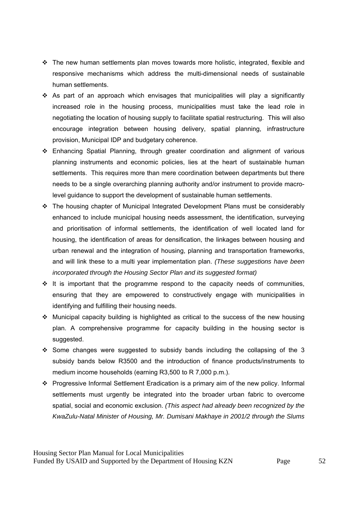- $\div$  The new human settlements plan moves towards more holistic, integrated, flexible and responsive mechanisms which address the multi-dimensional needs of sustainable human settlements.
- As part of an approach which envisages that municipalities will play a significantly increased role in the housing process, municipalities must take the lead role in negotiating the location of housing supply to facilitate spatial restructuring. This will also encourage integration between housing delivery, spatial planning, infrastructure provision, Municipal IDP and budgetary coherence.
- Enhancing Spatial Planning, through greater coordination and alignment of various planning instruments and economic policies, lies at the heart of sustainable human settlements. This requires more than mere coordination between departments but there needs to be a single overarching planning authority and/or instrument to provide macrolevel guidance to support the development of sustainable human settlements.
- The housing chapter of Municipal Integrated Development Plans must be considerably enhanced to include municipal housing needs assessment, the identification, surveying and prioritisation of informal settlements, the identification of well located land for housing, the identification of areas for densification, the linkages between housing and urban renewal and the integration of housing, planning and transportation frameworks, and will link these to a multi year implementation plan. *(These suggestions have been incorporated through the Housing Sector Plan and its suggested format)*
- $\div$  It is important that the programme respond to the capacity needs of communities, ensuring that they are empowered to constructively engage with municipalities in identifying and fulfilling their housing needs.
- $\cdot$  Municipal capacity building is highlighted as critical to the success of the new housing plan. A comprehensive programme for capacity building in the housing sector is suggested.
- $\div$  Some changes were suggested to subsidy bands including the collapsing of the 3 subsidy bands below R3500 and the introduction of finance products/instruments to medium income households (earning R3,500 to R 7,000 p.m.).
- Progressive Informal Settlement Eradication is a primary aim of the new policy. Informal settlements must urgently be integrated into the broader urban fabric to overcome spatial, social and economic exclusion. *(This aspect had already been recognized by the KwaZulu-Natal Minister of Housing, Mr. Dumisani Makhaye in 2001/2 through the Slums*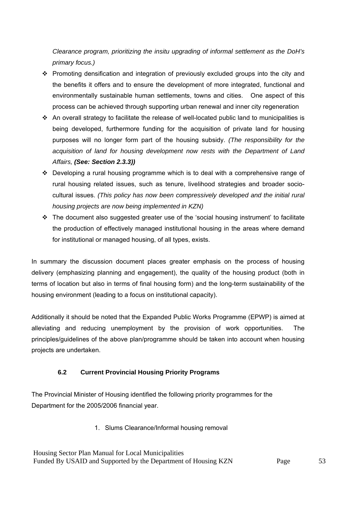*Clearance program, prioritizing the insitu upgrading of informal settlement as the DoH's primary focus.)* 

- Promoting densification and integration of previously excluded groups into the city and the benefits it offers and to ensure the development of more integrated, functional and environmentally sustainable human settlements, towns and cities. One aspect of this process can be achieved through supporting urban renewal and inner city regeneration
- $\cdot$  An overall strategy to facilitate the release of well-located public land to municipalities is being developed, furthermore funding for the acquisition of private land for housing purposes will no longer form part of the housing subsidy. *(The responsibility for the acquisition of land for housing development now rests with the Department of Land Affairs, (See: Section 2.3.3))*
- Developing a rural housing programme which is to deal with a comprehensive range of rural housing related issues, such as tenure, livelihood strategies and broader sociocultural issues. *(This policy has now been compressively developed and the initial rural housing projects are now being implemented in KZN)*
- $\cdot \cdot$  The document also suggested greater use of the 'social housing instrument' to facilitate the production of effectively managed institutional housing in the areas where demand for institutional or managed housing, of all types, exists.

In summary the discussion document places greater emphasis on the process of housing delivery (emphasizing planning and engagement), the quality of the housing product (both in terms of location but also in terms of final housing form) and the long-term sustainability of the housing environment (leading to a focus on institutional capacity).

Additionally it should be noted that the Expanded Public Works Programme (EPWP) is aimed at alleviating and reducing unemployment by the provision of work opportunities. The principles/guidelines of the above plan/programme should be taken into account when housing projects are undertaken.

## **6.2 Current Provincial Housing Priority Programs**

The Provincial Minister of Housing identified the following priority programmes for the Department for the 2005/2006 financial year.

1. Slums Clearance/Informal housing removal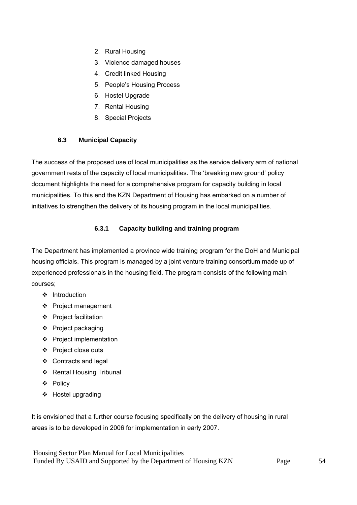- 2. Rural Housing
- 3. Violence damaged houses
- 4. Credit linked Housing
- 5. People's Housing Process
- 6. Hostel Upgrade
- 7. Rental Housing
- 8. Special Projects

## **6.3 Municipal Capacity**

The success of the proposed use of local municipalities as the service delivery arm of national government rests of the capacity of local municipalities. The 'breaking new ground' policy document highlights the need for a comprehensive program for capacity building in local municipalities. To this end the KZN Department of Housing has embarked on a number of initiatives to strengthen the delivery of its housing program in the local municipalities.

## **6.3.1 Capacity building and training program**

The Department has implemented a province wide training program for the DoH and Municipal housing officials. This program is managed by a joint venture training consortium made up of experienced professionals in the housing field. The program consists of the following main courses;

- ❖ Introduction
- Project management
- ❖ Project facilitation
- $\div$  Project packaging
- ❖ Project implementation
- Project close outs
- ❖ Contracts and legal
- ❖ Rental Housing Tribunal
- Policy
- Hostel upgrading

It is envisioned that a further course focusing specifically on the delivery of housing in rural areas is to be developed in 2006 for implementation in early 2007.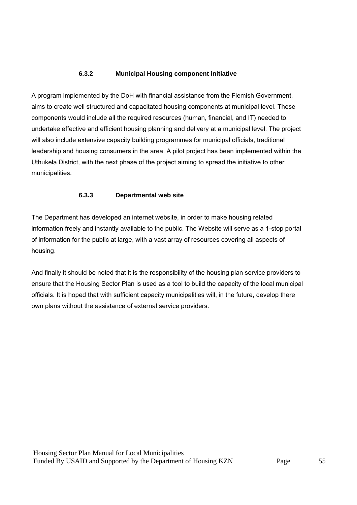## **6.3.2 Municipal Housing component initiative**

A program implemented by the DoH with financial assistance from the Flemish Government, aims to create well structured and capacitated housing components at municipal level. These components would include all the required resources (human, financial, and IT) needed to undertake effective and efficient housing planning and delivery at a municipal level. The project will also include extensive capacity building programmes for municipal officials, traditional leadership and housing consumers in the area. A pilot project has been implemented within the Uthukela District, with the next phase of the project aiming to spread the initiative to other municipalities.

#### **6.3.3 Departmental web site**

The Department has developed an internet website, in order to make housing related information freely and instantly available to the public. The Website will serve as a 1-stop portal of information for the public at large, with a vast array of resources covering all aspects of housing.

And finally it should be noted that it is the responsibility of the housing plan service providers to ensure that the Housing Sector Plan is used as a tool to build the capacity of the local municipal officials. It is hoped that with sufficient capacity municipalities will, in the future, develop there own plans without the assistance of external service providers.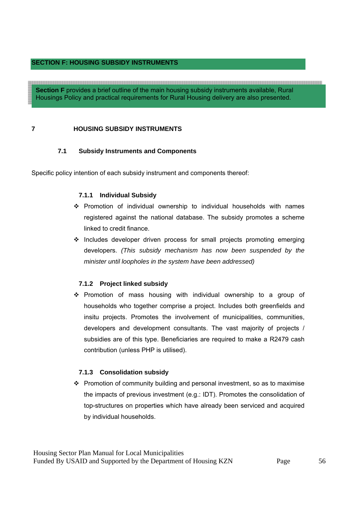## **SECTION F: HOUSING SUBSIDY INSTRUMENTS**

**Section F** provides a brief outline of the main housing subsidy instruments available, Rural Housings Policy and practical requirements for Rural Housing delivery are also presented.

## **7 HOUSING SUBSIDY INSTRUMENTS**

#### **7.1 Subsidy Instruments and Components**

Specific policy intention of each subsidy instrument and components thereof:

#### **7.1.1 Individual Subsidy**

- Promotion of individual ownership to individual households with names registered against the national database. The subsidy promotes a scheme linked to credit finance.
- $\cdot$  Includes developer driven process for small projects promoting emerging developers. *(This subsidy mechanism has now been suspended by the minister until loopholes in the system have been addressed)*

#### **7.1.2 Project linked subsidy**

 $\div$  Promotion of mass housing with individual ownership to a group of households who together comprise a project. Includes both greenfields and insitu projects. Promotes the involvement of municipalities, communities, developers and development consultants. The vast majority of projects / subsidies are of this type. Beneficiaries are required to make a R2479 cash contribution (unless PHP is utilised).

#### **7.1.3 Consolidation subsidy**

\* Promotion of community building and personal investment, so as to maximise the impacts of previous investment (e.g.: IDT). Promotes the consolidation of top-structures on properties which have already been serviced and acquired by individual households.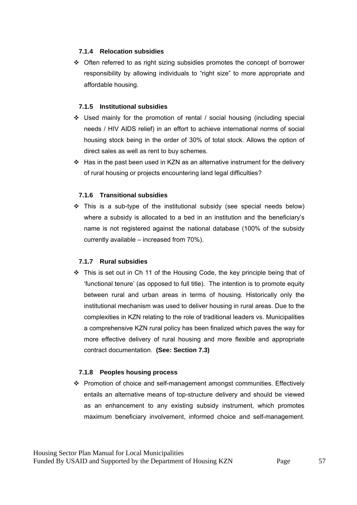## **7.1.4 Relocation subsidies**

 $\div$  Often referred to as right sizing subsidies promotes the concept of borrower responsibility by allowing individuals to "right size" to more appropriate and affordable housing.

## **7.1.5 Institutional subsidies**

- Used mainly for the promotion of rental / social housing (including special needs / HIV AIDS relief) in an effort to achieve international norms of social housing stock being in the order of 30% of total stock. Allows the option of direct sales as well as rent to buy schemes.
- Has in the past been used in KZN as an alternative instrument for the delivery of rural housing or projects encountering land legal difficulties?

## **7.1.6 Transitional subsidies**

 $\div$  This is a sub-type of the institutional subsidy (see special needs below) where a subsidy is allocated to a bed in an institution and the beneficiary's name is not registered against the national database (100% of the subsidy currently available – increased from 70%).

#### **7.1.7 Rural subsidies**

 This is set out in Ch 11 of the Housing Code, the key principle being that of 'functional tenure' (as opposed to full title). The intention is to promote equity between rural and urban areas in terms of housing. Historically only the institutional mechanism was used to deliver housing in rural areas. Due to the complexities in KZN relating to the role of traditional leaders vs. Municipalities a comprehensive KZN rural policy has been finalized which paves the way for more effective delivery of rural housing and more flexible and appropriate contract documentation. **(See: Section 7.3)**

## **7.1.8 Peoples housing process**

 Promotion of choice and self-management amongst communities. Effectively entails an alternative means of top-structure delivery and should be viewed as an enhancement to any existing subsidy instrument, which promotes maximum beneficiary involvement, informed choice and self-management.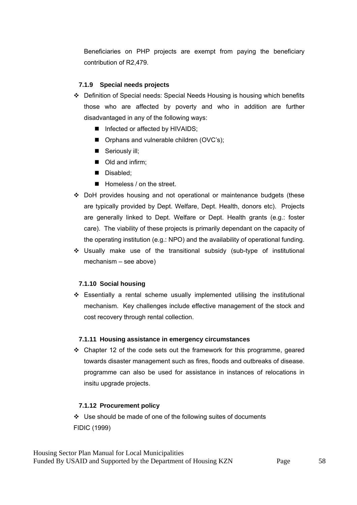Beneficiaries on PHP projects are exempt from paying the beneficiary contribution of R2,479.

## **7.1.9 Special needs projects**

- Definition of Special needs: Special Needs Housing is housing which benefits those who are affected by poverty and who in addition are further disadvantaged in any of the following ways:
	- Infected or affected by HIVAIDS;
	- **Orphans and vulnerable children (OVC's);**
	- Seriously ill;
	- Old and infirm:
	- Disabled;
	- Homeless / on the street.
- DoH provides housing and not operational or maintenance budgets (these are typically provided by Dept. Welfare, Dept. Health, donors etc). Projects are generally linked to Dept. Welfare or Dept. Health grants (e.g.: foster care). The viability of these projects is primarily dependant on the capacity of the operating institution (e.g.: NPO) and the availability of operational funding.
- $\div$  Usually make use of the transitional subsidy (sub-type of institutional mechanism – see above)

#### **7.1.10 Social housing**

 Essentially a rental scheme usually implemented utilising the institutional mechanism. Key challenges include effective management of the stock and cost recovery through rental collection.

#### **7.1.11 Housing assistance in emergency circumstances**

 Chapter 12 of the code sets out the framework for this programme, geared towards disaster management such as fires, floods and outbreaks of disease. programme can also be used for assistance in instances of relocations in insitu upgrade projects.

#### **7.1.12 Procurement policy**

 Use should be made of one of the following suites of documents FIDIC (1999)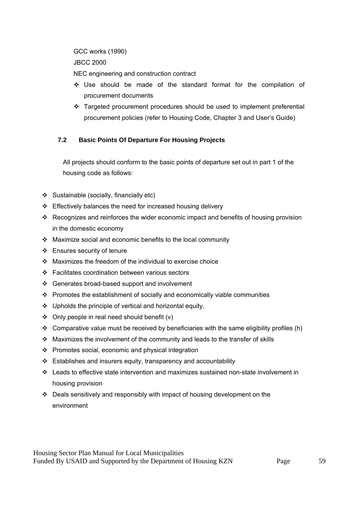GCC works (1990)

JBCC 2000

NEC engineering and construction contract

- Use should be made of the standard format for the compilation of procurement documents
- \* Targeted procurement procedures should be used to implement preferential procurement policies (refer to Housing Code, Chapter 3 and User's Guide)

## **7.2 Basic Points Of Departure For Housing Projects**

All projects should conform to the basic points of departure set out in part 1 of the housing code as follows:

- Sustainable (socially, financially etc)
- $\div$  Effectively balances the need for increased housing delivery
- Recognizes and reinforces the wider economic impact and benefits of housing provision in the domestic economy
- $\div$  Maximize social and economic benefits to the local community
- Ensures security of tenure
- Maximizes the freedom of the individual to exercise choice
- Facilitates coordination between various sectors
- Generates broad-based support and involvement
- $\cdot \cdot$  Promotes the establishment of socially and economically viable communities
- $\div$  Upholds the principle of vertical and horizontal equity,
- $\div$  Only people in real need should benefit (v)
- $\div$  Comparative value must be received by beneficiaries with the same eligibility profiles (h)
- Maximizes the involvement of the community and leads to the transfer of skills
- $\div$  Promotes social, economic and physical integration
- $\div$  Establishes and insurers equity, transparency and accountability
- Leads to effective state intervention and maximizes sustained non-state involvement in housing provision
- Deals sensitively and responsibly with impact of housing development on the environment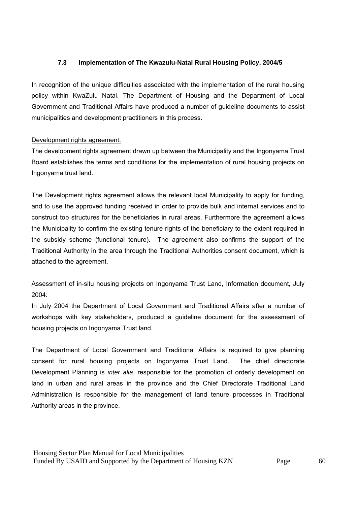## **7.3 Implementation of The Kwazulu-Natal Rural Housing Policy, 2004/5**

In recognition of the unique difficulties associated with the implementation of the rural housing policy within KwaZulu Natal. The Department of Housing and the Department of Local Government and Traditional Affairs have produced a number of guideline documents to assist municipalities and development practitioners in this process.

## Development rights agreement:

The development rights agreement drawn up between the Municipality and the Ingonyama Trust Board establishes the terms and conditions for the implementation of rural housing projects on Ingonyama trust land.

The Development rights agreement allows the relevant local Municipality to apply for funding, and to use the approved funding received in order to provide bulk and internal services and to construct top structures for the beneficiaries in rural areas. Furthermore the agreement allows the Municipality to confirm the existing tenure rights of the beneficiary to the extent required in the subsidy scheme (functional tenure). The agreement also confirms the support of the Traditional Authority in the area through the Traditional Authorities consent document, which is attached to the agreement.

# Assessment of in-situ housing projects on Ingonyama Trust Land, Information document, July 2004:

In July 2004 the Department of Local Government and Traditional Affairs after a number of workshops with key stakeholders, produced a guideline document for the assessment of housing projects on Ingonyama Trust land.

The Department of Local Government and Traditional Affairs is required to give planning consent for rural housing projects on Ingonyama Trust Land. The chief directorate Development Planning is *inter alia*, responsible for the promotion of orderly development on land in urban and rural areas in the province and the Chief Directorate Traditional Land Administration is responsible for the management of land tenure processes in Traditional Authority areas in the province.